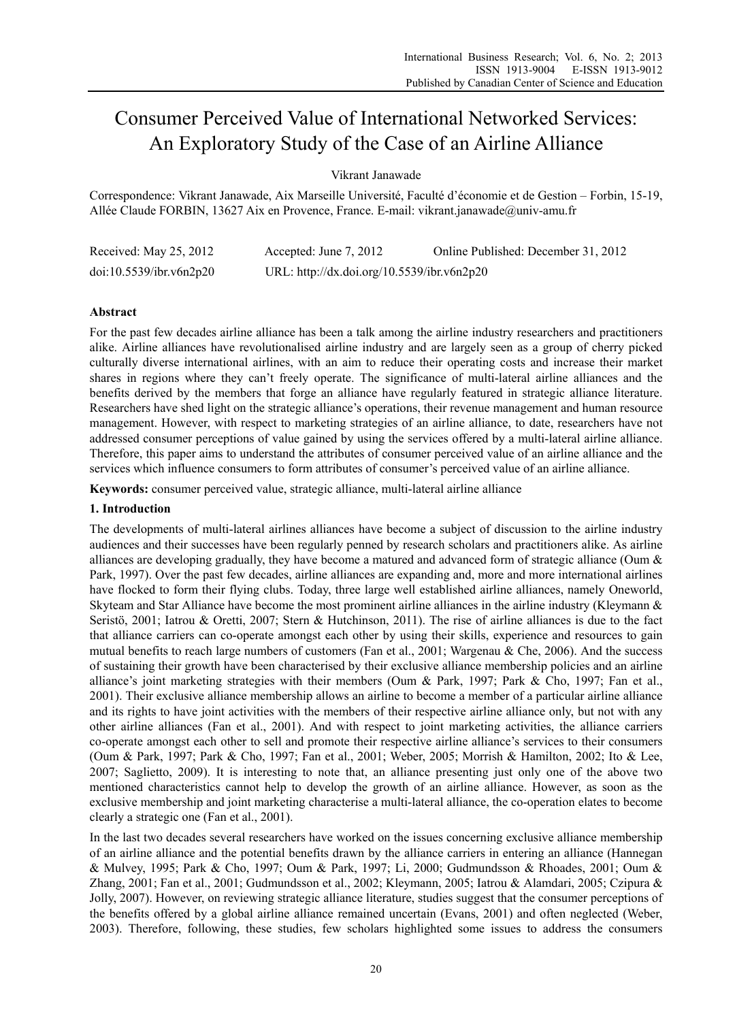# Consumer Perceived Value of International Networked Services: An Exploratory Study of the Case of an Airline Alliance

Vikrant Janawade

Correspondence: Vikrant Janawade, Aix Marseille Université, Faculté d'économie et de Gestion – Forbin, 15-19, Allée Claude FORBIN, 13627 Aix en Provence, France. E-mail: vikrant.janawade@univ-amu.fr

| Received: May 25, 2012  | Accepted: June 7, 2012                     | Online Published: December 31, 2012 |
|-------------------------|--------------------------------------------|-------------------------------------|
| doi:10.5539/ibr.v6n2p20 | URL: http://dx.doi.org/10.5539/ibr.v6n2p20 |                                     |

# **Abstract**

For the past few decades airline alliance has been a talk among the airline industry researchers and practitioners alike. Airline alliances have revolutionalised airline industry and are largely seen as a group of cherry picked culturally diverse international airlines, with an aim to reduce their operating costs and increase their market shares in regions where they can't freely operate. The significance of multi-lateral airline alliances and the benefits derived by the members that forge an alliance have regularly featured in strategic alliance literature. Researchers have shed light on the strategic alliance's operations, their revenue management and human resource management. However, with respect to marketing strategies of an airline alliance, to date, researchers have not addressed consumer perceptions of value gained by using the services offered by a multi-lateral airline alliance. Therefore, this paper aims to understand the attributes of consumer perceived value of an airline alliance and the services which influence consumers to form attributes of consumer's perceived value of an airline alliance.

**Keywords:** consumer perceived value, strategic alliance, multi-lateral airline alliance

# **1. Introduction**

The developments of multi-lateral airlines alliances have become a subject of discussion to the airline industry audiences and their successes have been regularly penned by research scholars and practitioners alike. As airline alliances are developing gradually, they have become a matured and advanced form of strategic alliance (Oum & Park, 1997). Over the past few decades, airline alliances are expanding and, more and more international airlines have flocked to form their flying clubs. Today, three large well established airline alliances, namely Oneworld, Skyteam and Star Alliance have become the most prominent airline alliances in the airline industry (Kleymann & Seristö, 2001; Iatrou & Oretti, 2007; Stern & Hutchinson, 2011). The rise of airline alliances is due to the fact that alliance carriers can co-operate amongst each other by using their skills, experience and resources to gain mutual benefits to reach large numbers of customers (Fan et al., 2001; Wargenau & Che, 2006). And the success of sustaining their growth have been characterised by their exclusive alliance membership policies and an airline alliance's joint marketing strategies with their members (Oum & Park, 1997; Park & Cho, 1997; Fan et al., 2001). Their exclusive alliance membership allows an airline to become a member of a particular airline alliance and its rights to have joint activities with the members of their respective airline alliance only, but not with any other airline alliances (Fan et al., 2001). And with respect to joint marketing activities, the alliance carriers co-operate amongst each other to sell and promote their respective airline alliance's services to their consumers (Oum & Park, 1997; Park & Cho, 1997; Fan et al., 2001; Weber, 2005; Morrish & Hamilton, 2002; Ito & Lee, 2007; Saglietto, 2009). It is interesting to note that, an alliance presenting just only one of the above two mentioned characteristics cannot help to develop the growth of an airline alliance. However, as soon as the exclusive membership and joint marketing characterise a multi-lateral alliance, the co-operation elates to become clearly a strategic one (Fan et al., 2001).

In the last two decades several researchers have worked on the issues concerning exclusive alliance membership of an airline alliance and the potential benefits drawn by the alliance carriers in entering an alliance (Hannegan & Mulvey, 1995; Park & Cho, 1997; Oum & Park, 1997; Li, 2000; Gudmundsson & Rhoades, 2001; Oum & Zhang, 2001; Fan et al., 2001; Gudmundsson et al., 2002; Kleymann, 2005; Iatrou & Alamdari, 2005; Czipura & Jolly, 2007). However, on reviewing strategic alliance literature, studies suggest that the consumer perceptions of the benefits offered by a global airline alliance remained uncertain (Evans, 2001) and often neglected (Weber, 2003). Therefore, following, these studies, few scholars highlighted some issues to address the consumers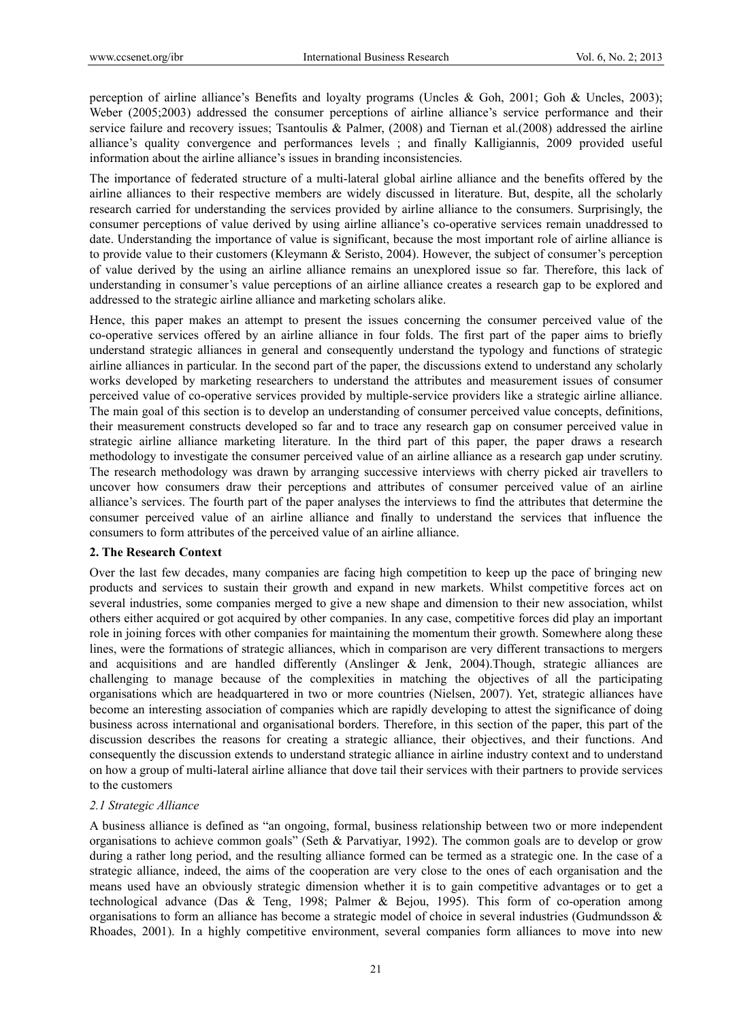perception of airline alliance's Benefits and loyalty programs (Uncles & Goh, 2001; Goh & Uncles, 2003); Weber (2005;2003) addressed the consumer perceptions of airline alliance's service performance and their service failure and recovery issues; Tsantoulis & Palmer, (2008) and Tiernan et al.(2008) addressed the airline alliance's quality convergence and performances levels ; and finally Kalligiannis, 2009 provided useful information about the airline alliance's issues in branding inconsistencies.

The importance of federated structure of a multi-lateral global airline alliance and the benefits offered by the airline alliances to their respective members are widely discussed in literature. But, despite, all the scholarly research carried for understanding the services provided by airline alliance to the consumers. Surprisingly, the consumer perceptions of value derived by using airline alliance's co-operative services remain unaddressed to date. Understanding the importance of value is significant, because the most important role of airline alliance is to provide value to their customers (Kleymann & Seristo, 2004). However, the subject of consumer's perception of value derived by the using an airline alliance remains an unexplored issue so far. Therefore, this lack of understanding in consumer's value perceptions of an airline alliance creates a research gap to be explored and addressed to the strategic airline alliance and marketing scholars alike.

Hence, this paper makes an attempt to present the issues concerning the consumer perceived value of the co-operative services offered by an airline alliance in four folds. The first part of the paper aims to briefly understand strategic alliances in general and consequently understand the typology and functions of strategic airline alliances in particular. In the second part of the paper, the discussions extend to understand any scholarly works developed by marketing researchers to understand the attributes and measurement issues of consumer perceived value of co-operative services provided by multiple-service providers like a strategic airline alliance. The main goal of this section is to develop an understanding of consumer perceived value concepts, definitions, their measurement constructs developed so far and to trace any research gap on consumer perceived value in strategic airline alliance marketing literature. In the third part of this paper, the paper draws a research methodology to investigate the consumer perceived value of an airline alliance as a research gap under scrutiny. The research methodology was drawn by arranging successive interviews with cherry picked air travellers to uncover how consumers draw their perceptions and attributes of consumer perceived value of an airline alliance's services. The fourth part of the paper analyses the interviews to find the attributes that determine the consumer perceived value of an airline alliance and finally to understand the services that influence the consumers to form attributes of the perceived value of an airline alliance.

## **2. The Research Context**

Over the last few decades, many companies are facing high competition to keep up the pace of bringing new products and services to sustain their growth and expand in new markets. Whilst competitive forces act on several industries, some companies merged to give a new shape and dimension to their new association, whilst others either acquired or got acquired by other companies. In any case, competitive forces did play an important role in joining forces with other companies for maintaining the momentum their growth. Somewhere along these lines, were the formations of strategic alliances, which in comparison are very different transactions to mergers and acquisitions and are handled differently (Anslinger & Jenk, 2004).Though, strategic alliances are challenging to manage because of the complexities in matching the objectives of all the participating organisations which are headquartered in two or more countries (Nielsen, 2007). Yet, strategic alliances have become an interesting association of companies which are rapidly developing to attest the significance of doing business across international and organisational borders. Therefore, in this section of the paper, this part of the discussion describes the reasons for creating a strategic alliance, their objectives, and their functions. And consequently the discussion extends to understand strategic alliance in airline industry context and to understand on how a group of multi-lateral airline alliance that dove tail their services with their partners to provide services to the customers

## *2.1 Strategic Alliance*

A business alliance is defined as "an ongoing, formal, business relationship between two or more independent organisations to achieve common goals" (Seth & Parvatiyar, 1992). The common goals are to develop or grow during a rather long period, and the resulting alliance formed can be termed as a strategic one. In the case of a strategic alliance, indeed, the aims of the cooperation are very close to the ones of each organisation and the means used have an obviously strategic dimension whether it is to gain competitive advantages or to get a technological advance (Das & Teng, 1998; Palmer & Bejou, 1995). This form of co-operation among organisations to form an alliance has become a strategic model of choice in several industries (Gudmundsson & Rhoades, 2001). In a highly competitive environment, several companies form alliances to move into new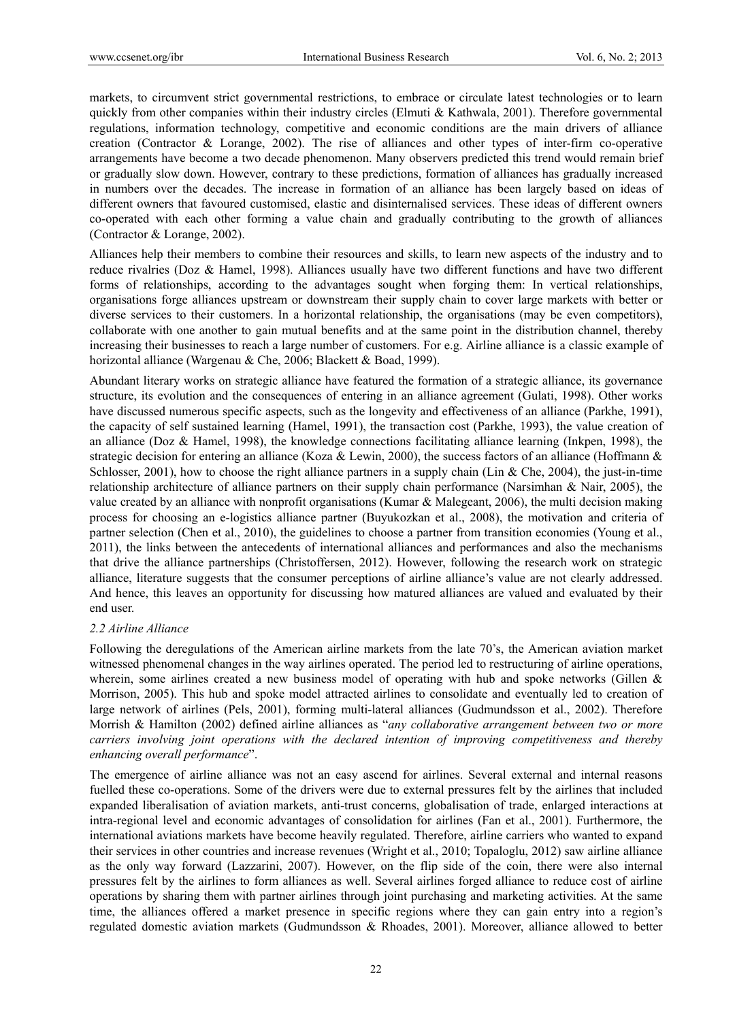markets, to circumvent strict governmental restrictions, to embrace or circulate latest technologies or to learn quickly from other companies within their industry circles (Elmuti & Kathwala, 2001). Therefore governmental regulations, information technology, competitive and economic conditions are the main drivers of alliance creation (Contractor & Lorange, 2002). The rise of alliances and other types of inter-firm co-operative arrangements have become a two decade phenomenon. Many observers predicted this trend would remain brief or gradually slow down. However, contrary to these predictions, formation of alliances has gradually increased in numbers over the decades. The increase in formation of an alliance has been largely based on ideas of different owners that favoured customised, elastic and disinternalised services. These ideas of different owners co-operated with each other forming a value chain and gradually contributing to the growth of alliances (Contractor & Lorange, 2002).

Alliances help their members to combine their resources and skills, to learn new aspects of the industry and to reduce rivalries (Doz & Hamel, 1998). Alliances usually have two different functions and have two different forms of relationships, according to the advantages sought when forging them: In vertical relationships, organisations forge alliances upstream or downstream their supply chain to cover large markets with better or diverse services to their customers. In a horizontal relationship, the organisations (may be even competitors), collaborate with one another to gain mutual benefits and at the same point in the distribution channel, thereby increasing their businesses to reach a large number of customers. For e.g. Airline alliance is a classic example of horizontal alliance (Wargenau & Che, 2006; Blackett & Boad, 1999).

Abundant literary works on strategic alliance have featured the formation of a strategic alliance, its governance structure, its evolution and the consequences of entering in an alliance agreement (Gulati, 1998). Other works have discussed numerous specific aspects, such as the longevity and effectiveness of an alliance (Parkhe, 1991), the capacity of self sustained learning (Hamel, 1991), the transaction cost (Parkhe, 1993), the value creation of an alliance (Doz & Hamel, 1998), the knowledge connections facilitating alliance learning (Inkpen, 1998), the strategic decision for entering an alliance (Koza & Lewin, 2000), the success factors of an alliance (Hoffmann  $\&$ Schlosser, 2001), how to choose the right alliance partners in a supply chain (Lin & Che, 2004), the just-in-time relationship architecture of alliance partners on their supply chain performance (Narsimhan & Nair, 2005), the value created by an alliance with nonprofit organisations (Kumar & Malegeant, 2006), the multi decision making process for choosing an e-logistics alliance partner (Buyukozkan et al., 2008), the motivation and criteria of partner selection (Chen et al., 2010), the guidelines to choose a partner from transition economies (Young et al., 2011), the links between the antecedents of international alliances and performances and also the mechanisms that drive the alliance partnerships (Christoffersen, 2012). However, following the research work on strategic alliance, literature suggests that the consumer perceptions of airline alliance's value are not clearly addressed. And hence, this leaves an opportunity for discussing how matured alliances are valued and evaluated by their end user.

## *2.2 Airline Alliance*

Following the deregulations of the American airline markets from the late 70's, the American aviation market witnessed phenomenal changes in the way airlines operated. The period led to restructuring of airline operations, wherein, some airlines created a new business model of operating with hub and spoke networks (Gillen & Morrison, 2005). This hub and spoke model attracted airlines to consolidate and eventually led to creation of large network of airlines (Pels, 2001), forming multi-lateral alliances (Gudmundsson et al., 2002). Therefore Morrish & Hamilton (2002) defined airline alliances as "*any collaborative arrangement between two or more carriers involving joint operations with the declared intention of improving competitiveness and thereby enhancing overall performance*".

The emergence of airline alliance was not an easy ascend for airlines. Several external and internal reasons fuelled these co-operations. Some of the drivers were due to external pressures felt by the airlines that included expanded liberalisation of aviation markets, anti-trust concerns, globalisation of trade, enlarged interactions at intra-regional level and economic advantages of consolidation for airlines (Fan et al., 2001). Furthermore, the international aviations markets have become heavily regulated. Therefore, airline carriers who wanted to expand their services in other countries and increase revenues (Wright et al., 2010; Topaloglu, 2012) saw airline alliance as the only way forward (Lazzarini, 2007). However, on the flip side of the coin, there were also internal pressures felt by the airlines to form alliances as well. Several airlines forged alliance to reduce cost of airline operations by sharing them with partner airlines through joint purchasing and marketing activities. At the same time, the alliances offered a market presence in specific regions where they can gain entry into a region's regulated domestic aviation markets (Gudmundsson & Rhoades, 2001). Moreover, alliance allowed to better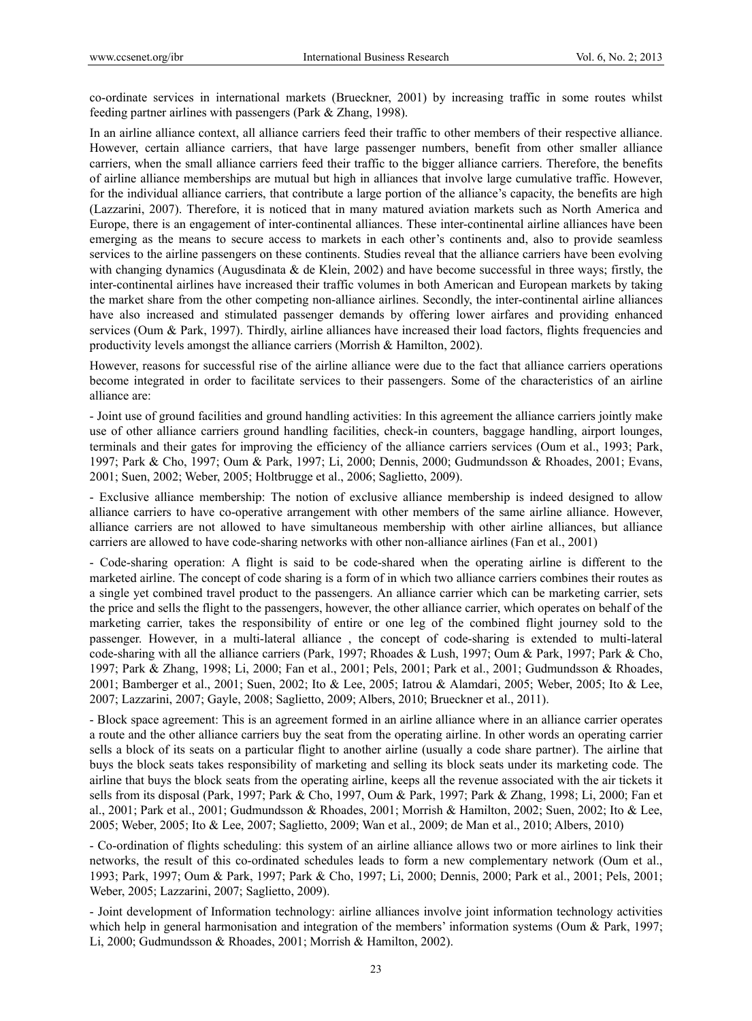co-ordinate services in international markets (Brueckner, 2001) by increasing traffic in some routes whilst feeding partner airlines with passengers (Park & Zhang, 1998).

In an airline alliance context, all alliance carriers feed their traffic to other members of their respective alliance. However, certain alliance carriers, that have large passenger numbers, benefit from other smaller alliance carriers, when the small alliance carriers feed their traffic to the bigger alliance carriers. Therefore, the benefits of airline alliance memberships are mutual but high in alliances that involve large cumulative traffic. However, for the individual alliance carriers, that contribute a large portion of the alliance's capacity, the benefits are high (Lazzarini, 2007). Therefore, it is noticed that in many matured aviation markets such as North America and Europe, there is an engagement of inter-continental alliances. These inter-continental airline alliances have been emerging as the means to secure access to markets in each other's continents and, also to provide seamless services to the airline passengers on these continents. Studies reveal that the alliance carriers have been evolving with changing dynamics (Augusdinata & de Klein, 2002) and have become successful in three ways; firstly, the inter-continental airlines have increased their traffic volumes in both American and European markets by taking the market share from the other competing non-alliance airlines. Secondly, the inter-continental airline alliances have also increased and stimulated passenger demands by offering lower airfares and providing enhanced services (Oum & Park, 1997). Thirdly, airline alliances have increased their load factors, flights frequencies and productivity levels amongst the alliance carriers (Morrish & Hamilton, 2002).

However, reasons for successful rise of the airline alliance were due to the fact that alliance carriers operations become integrated in order to facilitate services to their passengers. Some of the characteristics of an airline alliance are:

- Joint use of ground facilities and ground handling activities: In this agreement the alliance carriers jointly make use of other alliance carriers ground handling facilities, check-in counters, baggage handling, airport lounges, terminals and their gates for improving the efficiency of the alliance carriers services (Oum et al., 1993; Park, 1997; Park & Cho, 1997; Oum & Park, 1997; Li, 2000; Dennis, 2000; Gudmundsson & Rhoades, 2001; Evans, 2001; Suen, 2002; Weber, 2005; Holtbrugge et al., 2006; Saglietto, 2009).

- Exclusive alliance membership: The notion of exclusive alliance membership is indeed designed to allow alliance carriers to have co-operative arrangement with other members of the same airline alliance. However, alliance carriers are not allowed to have simultaneous membership with other airline alliances, but alliance carriers are allowed to have code-sharing networks with other non-alliance airlines (Fan et al., 2001)

- Code-sharing operation: A flight is said to be code-shared when the operating airline is different to the marketed airline. The concept of code sharing is a form of in which two alliance carriers combines their routes as a single yet combined travel product to the passengers. An alliance carrier which can be marketing carrier, sets the price and sells the flight to the passengers, however, the other alliance carrier, which operates on behalf of the marketing carrier, takes the responsibility of entire or one leg of the combined flight journey sold to the passenger. However, in a multi-lateral alliance , the concept of code-sharing is extended to multi-lateral code-sharing with all the alliance carriers (Park, 1997; Rhoades & Lush, 1997; Oum & Park, 1997; Park & Cho, 1997; Park & Zhang, 1998; Li, 2000; Fan et al., 2001; Pels, 2001; Park et al., 2001; Gudmundsson & Rhoades, 2001; Bamberger et al., 2001; Suen, 2002; Ito & Lee, 2005; Iatrou & Alamdari, 2005; Weber, 2005; Ito & Lee, 2007; Lazzarini, 2007; Gayle, 2008; Saglietto, 2009; Albers, 2010; Brueckner et al., 2011).

- Block space agreement: This is an agreement formed in an airline alliance where in an alliance carrier operates a route and the other alliance carriers buy the seat from the operating airline. In other words an operating carrier sells a block of its seats on a particular flight to another airline (usually a code share partner). The airline that buys the block seats takes responsibility of marketing and selling its block seats under its marketing code. The airline that buys the block seats from the operating airline, keeps all the revenue associated with the air tickets it sells from its disposal (Park, 1997; Park & Cho, 1997, Oum & Park, 1997; Park & Zhang, 1998; Li, 2000; Fan et al., 2001; Park et al., 2001; Gudmundsson & Rhoades, 2001; Morrish & Hamilton, 2002; Suen, 2002; Ito & Lee, 2005; Weber, 2005; Ito & Lee, 2007; Saglietto, 2009; Wan et al., 2009; de Man et al., 2010; Albers, 2010)

- Co-ordination of flights scheduling: this system of an airline alliance allows two or more airlines to link their networks, the result of this co-ordinated schedules leads to form a new complementary network (Oum et al., 1993; Park, 1997; Oum & Park, 1997; Park & Cho, 1997; Li, 2000; Dennis, 2000; Park et al., 2001; Pels, 2001; Weber, 2005; Lazzarini, 2007; Saglietto, 2009).

- Joint development of Information technology: airline alliances involve joint information technology activities which help in general harmonisation and integration of the members' information systems (Oum & Park, 1997; Li, 2000; Gudmundsson & Rhoades, 2001; Morrish & Hamilton, 2002).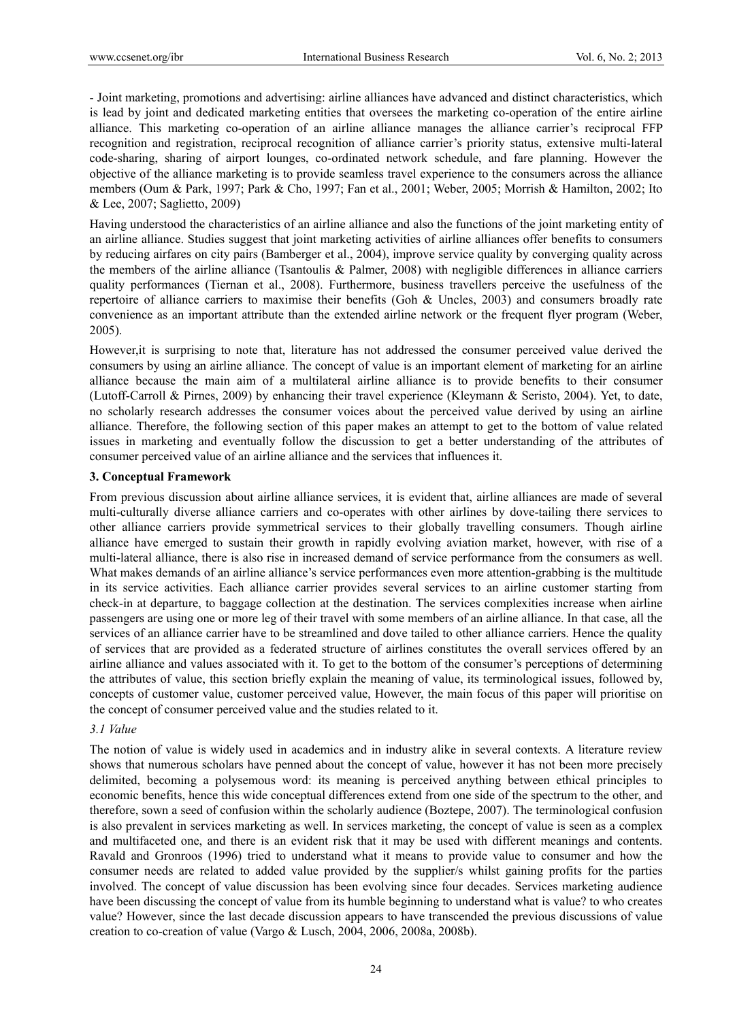- Joint marketing, promotions and advertising: airline alliances have advanced and distinct characteristics, which is lead by joint and dedicated marketing entities that oversees the marketing co-operation of the entire airline alliance. This marketing co-operation of an airline alliance manages the alliance carrier's reciprocal FFP recognition and registration, reciprocal recognition of alliance carrier's priority status, extensive multi-lateral code-sharing, sharing of airport lounges, co-ordinated network schedule, and fare planning. However the objective of the alliance marketing is to provide seamless travel experience to the consumers across the alliance members (Oum & Park, 1997; Park & Cho, 1997; Fan et al., 2001; Weber, 2005; Morrish & Hamilton, 2002; Ito & Lee, 2007; Saglietto, 2009)

Having understood the characteristics of an airline alliance and also the functions of the joint marketing entity of an airline alliance. Studies suggest that joint marketing activities of airline alliances offer benefits to consumers by reducing airfares on city pairs (Bamberger et al., 2004), improve service quality by converging quality across the members of the airline alliance (Tsantoulis & Palmer, 2008) with negligible differences in alliance carriers quality performances (Tiernan et al., 2008). Furthermore, business travellers perceive the usefulness of the repertoire of alliance carriers to maximise their benefits (Goh & Uncles, 2003) and consumers broadly rate convenience as an important attribute than the extended airline network or the frequent flyer program (Weber, 2005).

However,it is surprising to note that, literature has not addressed the consumer perceived value derived the consumers by using an airline alliance. The concept of value is an important element of marketing for an airline alliance because the main aim of a multilateral airline alliance is to provide benefits to their consumer (Lutoff-Carroll & Pirnes, 2009) by enhancing their travel experience (Kleymann & Seristo, 2004). Yet, to date, no scholarly research addresses the consumer voices about the perceived value derived by using an airline alliance. Therefore, the following section of this paper makes an attempt to get to the bottom of value related issues in marketing and eventually follow the discussion to get a better understanding of the attributes of consumer perceived value of an airline alliance and the services that influences it.

## **3. Conceptual Framework**

From previous discussion about airline alliance services, it is evident that, airline alliances are made of several multi-culturally diverse alliance carriers and co-operates with other airlines by dove-tailing there services to other alliance carriers provide symmetrical services to their globally travelling consumers. Though airline alliance have emerged to sustain their growth in rapidly evolving aviation market, however, with rise of a multi-lateral alliance, there is also rise in increased demand of service performance from the consumers as well. What makes demands of an airline alliance's service performances even more attention-grabbing is the multitude in its service activities. Each alliance carrier provides several services to an airline customer starting from check-in at departure, to baggage collection at the destination. The services complexities increase when airline passengers are using one or more leg of their travel with some members of an airline alliance. In that case, all the services of an alliance carrier have to be streamlined and dove tailed to other alliance carriers. Hence the quality of services that are provided as a federated structure of airlines constitutes the overall services offered by an airline alliance and values associated with it. To get to the bottom of the consumer's perceptions of determining the attributes of value, this section briefly explain the meaning of value, its terminological issues, followed by, concepts of customer value, customer perceived value, However, the main focus of this paper will prioritise on the concept of consumer perceived value and the studies related to it.

## *3.1 Value*

The notion of value is widely used in academics and in industry alike in several contexts. A literature review shows that numerous scholars have penned about the concept of value, however it has not been more precisely delimited, becoming a polysemous word: its meaning is perceived anything between ethical principles to economic benefits, hence this wide conceptual differences extend from one side of the spectrum to the other, and therefore, sown a seed of confusion within the scholarly audience (Boztepe, 2007). The terminological confusion is also prevalent in services marketing as well. In services marketing, the concept of value is seen as a complex and multifaceted one, and there is an evident risk that it may be used with different meanings and contents. Ravald and Gronroos (1996) tried to understand what it means to provide value to consumer and how the consumer needs are related to added value provided by the supplier/s whilst gaining profits for the parties involved. The concept of value discussion has been evolving since four decades. Services marketing audience have been discussing the concept of value from its humble beginning to understand what is value? to who creates value? However, since the last decade discussion appears to have transcended the previous discussions of value creation to co-creation of value (Vargo & Lusch, 2004, 2006, 2008a, 2008b).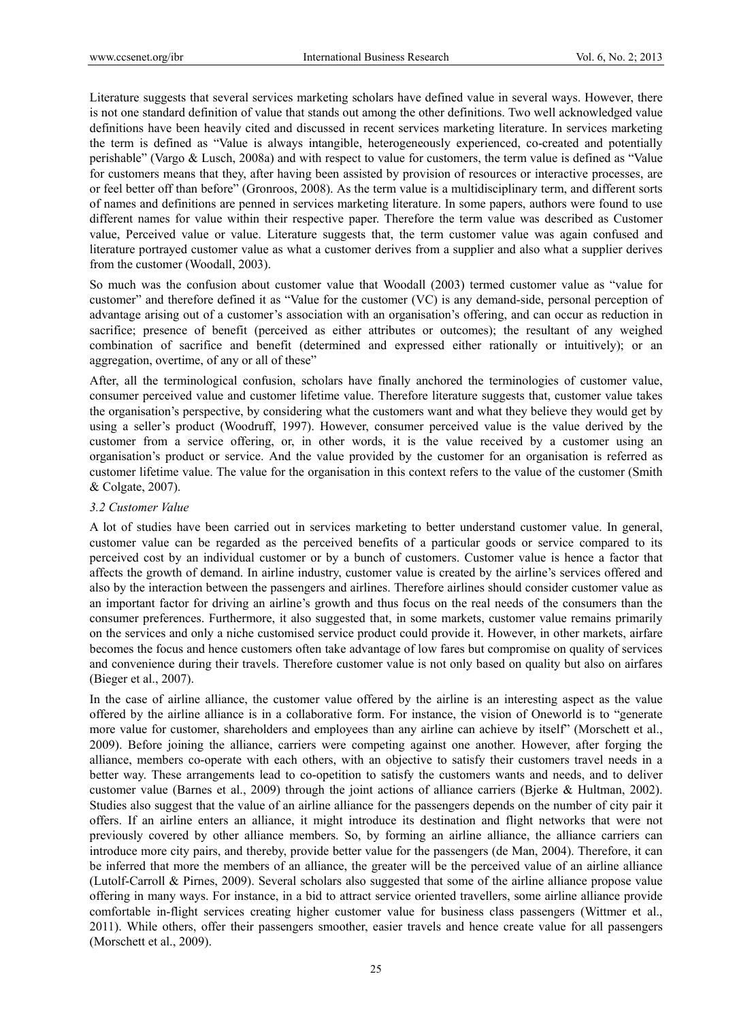Literature suggests that several services marketing scholars have defined value in several ways. However, there is not one standard definition of value that stands out among the other definitions. Two well acknowledged value definitions have been heavily cited and discussed in recent services marketing literature. In services marketing the term is defined as "Value is always intangible, heterogeneously experienced, co-created and potentially perishable" (Vargo & Lusch, 2008a) and with respect to value for customers, the term value is defined as "Value for customers means that they, after having been assisted by provision of resources or interactive processes, are or feel better off than before" (Gronroos, 2008). As the term value is a multidisciplinary term, and different sorts of names and definitions are penned in services marketing literature. In some papers, authors were found to use different names for value within their respective paper. Therefore the term value was described as Customer value, Perceived value or value. Literature suggests that, the term customer value was again confused and literature portrayed customer value as what a customer derives from a supplier and also what a supplier derives from the customer (Woodall, 2003).

So much was the confusion about customer value that Woodall (2003) termed customer value as "value for customer" and therefore defined it as "Value for the customer (VC) is any demand-side, personal perception of advantage arising out of a customer's association with an organisation's offering, and can occur as reduction in sacrifice; presence of benefit (perceived as either attributes or outcomes); the resultant of any weighed combination of sacrifice and benefit (determined and expressed either rationally or intuitively); or an aggregation, overtime, of any or all of these"

After, all the terminological confusion, scholars have finally anchored the terminologies of customer value, consumer perceived value and customer lifetime value. Therefore literature suggests that, customer value takes the organisation's perspective, by considering what the customers want and what they believe they would get by using a seller's product (Woodruff, 1997). However, consumer perceived value is the value derived by the customer from a service offering, or, in other words, it is the value received by a customer using an organisation's product or service. And the value provided by the customer for an organisation is referred as customer lifetime value. The value for the organisation in this context refers to the value of the customer (Smith & Colgate, 2007).

## *3.2 Customer Value*

A lot of studies have been carried out in services marketing to better understand customer value. In general, customer value can be regarded as the perceived benefits of a particular goods or service compared to its perceived cost by an individual customer or by a bunch of customers. Customer value is hence a factor that affects the growth of demand. In airline industry, customer value is created by the airline's services offered and also by the interaction between the passengers and airlines. Therefore airlines should consider customer value as an important factor for driving an airline's growth and thus focus on the real needs of the consumers than the consumer preferences. Furthermore, it also suggested that, in some markets, customer value remains primarily on the services and only a niche customised service product could provide it. However, in other markets, airfare becomes the focus and hence customers often take advantage of low fares but compromise on quality of services and convenience during their travels. Therefore customer value is not only based on quality but also on airfares (Bieger et al., 2007).

In the case of airline alliance, the customer value offered by the airline is an interesting aspect as the value offered by the airline alliance is in a collaborative form. For instance, the vision of Oneworld is to "generate more value for customer, shareholders and employees than any airline can achieve by itself" (Morschett et al., 2009). Before joining the alliance, carriers were competing against one another. However, after forging the alliance, members co-operate with each others, with an objective to satisfy their customers travel needs in a better way. These arrangements lead to co-opetition to satisfy the customers wants and needs, and to deliver customer value (Barnes et al., 2009) through the joint actions of alliance carriers (Bjerke & Hultman, 2002). Studies also suggest that the value of an airline alliance for the passengers depends on the number of city pair it offers. If an airline enters an alliance, it might introduce its destination and flight networks that were not previously covered by other alliance members. So, by forming an airline alliance, the alliance carriers can introduce more city pairs, and thereby, provide better value for the passengers (de Man, 2004). Therefore, it can be inferred that more the members of an alliance, the greater will be the perceived value of an airline alliance (Lutolf-Carroll & Pirnes, 2009). Several scholars also suggested that some of the airline alliance propose value offering in many ways. For instance, in a bid to attract service oriented travellers, some airline alliance provide comfortable in-flight services creating higher customer value for business class passengers (Wittmer et al., 2011). While others, offer their passengers smoother, easier travels and hence create value for all passengers (Morschett et al., 2009).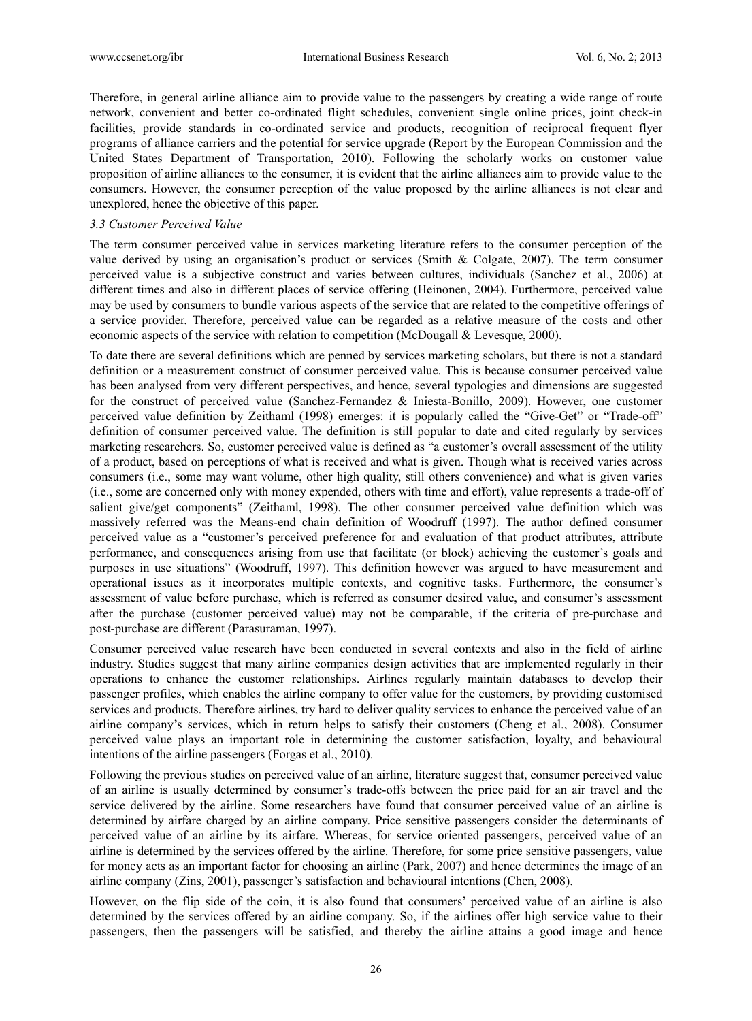Therefore, in general airline alliance aim to provide value to the passengers by creating a wide range of route network, convenient and better co-ordinated flight schedules, convenient single online prices, joint check-in facilities, provide standards in co-ordinated service and products, recognition of reciprocal frequent flyer programs of alliance carriers and the potential for service upgrade (Report by the European Commission and the United States Department of Transportation, 2010). Following the scholarly works on customer value proposition of airline alliances to the consumer, it is evident that the airline alliances aim to provide value to the consumers. However, the consumer perception of the value proposed by the airline alliances is not clear and unexplored, hence the objective of this paper.

#### *3.3 Customer Perceived Value*

The term consumer perceived value in services marketing literature refers to the consumer perception of the value derived by using an organisation's product or services (Smith & Colgate, 2007). The term consumer perceived value is a subjective construct and varies between cultures, individuals (Sanchez et al., 2006) at different times and also in different places of service offering (Heinonen, 2004). Furthermore, perceived value may be used by consumers to bundle various aspects of the service that are related to the competitive offerings of a service provider. Therefore, perceived value can be regarded as a relative measure of the costs and other economic aspects of the service with relation to competition (McDougall & Levesque, 2000).

To date there are several definitions which are penned by services marketing scholars, but there is not a standard definition or a measurement construct of consumer perceived value. This is because consumer perceived value has been analysed from very different perspectives, and hence, several typologies and dimensions are suggested for the construct of perceived value (Sanchez-Fernandez & Iniesta-Bonillo, 2009). However, one customer perceived value definition by Zeithaml (1998) emerges: it is popularly called the "Give-Get" or "Trade-off" definition of consumer perceived value. The definition is still popular to date and cited regularly by services marketing researchers. So, customer perceived value is defined as "a customer's overall assessment of the utility of a product, based on perceptions of what is received and what is given. Though what is received varies across consumers (i.e., some may want volume, other high quality, still others convenience) and what is given varies (i.e., some are concerned only with money expended, others with time and effort), value represents a trade-off of salient give/get components" (Zeithaml, 1998). The other consumer perceived value definition which was massively referred was the Means-end chain definition of Woodruff (1997). The author defined consumer perceived value as a "customer's perceived preference for and evaluation of that product attributes, attribute performance, and consequences arising from use that facilitate (or block) achieving the customer's goals and purposes in use situations" (Woodruff, 1997). This definition however was argued to have measurement and operational issues as it incorporates multiple contexts, and cognitive tasks. Furthermore, the consumer's assessment of value before purchase, which is referred as consumer desired value, and consumer's assessment after the purchase (customer perceived value) may not be comparable, if the criteria of pre-purchase and post-purchase are different (Parasuraman, 1997).

Consumer perceived value research have been conducted in several contexts and also in the field of airline industry. Studies suggest that many airline companies design activities that are implemented regularly in their operations to enhance the customer relationships. Airlines regularly maintain databases to develop their passenger profiles, which enables the airline company to offer value for the customers, by providing customised services and products. Therefore airlines, try hard to deliver quality services to enhance the perceived value of an airline company's services, which in return helps to satisfy their customers (Cheng et al., 2008). Consumer perceived value plays an important role in determining the customer satisfaction, loyalty, and behavioural intentions of the airline passengers (Forgas et al., 2010).

Following the previous studies on perceived value of an airline, literature suggest that, consumer perceived value of an airline is usually determined by consumer's trade-offs between the price paid for an air travel and the service delivered by the airline. Some researchers have found that consumer perceived value of an airline is determined by airfare charged by an airline company. Price sensitive passengers consider the determinants of perceived value of an airline by its airfare. Whereas, for service oriented passengers, perceived value of an airline is determined by the services offered by the airline. Therefore, for some price sensitive passengers, value for money acts as an important factor for choosing an airline (Park, 2007) and hence determines the image of an airline company (Zins, 2001), passenger's satisfaction and behavioural intentions (Chen, 2008).

However, on the flip side of the coin, it is also found that consumers' perceived value of an airline is also determined by the services offered by an airline company. So, if the airlines offer high service value to their passengers, then the passengers will be satisfied, and thereby the airline attains a good image and hence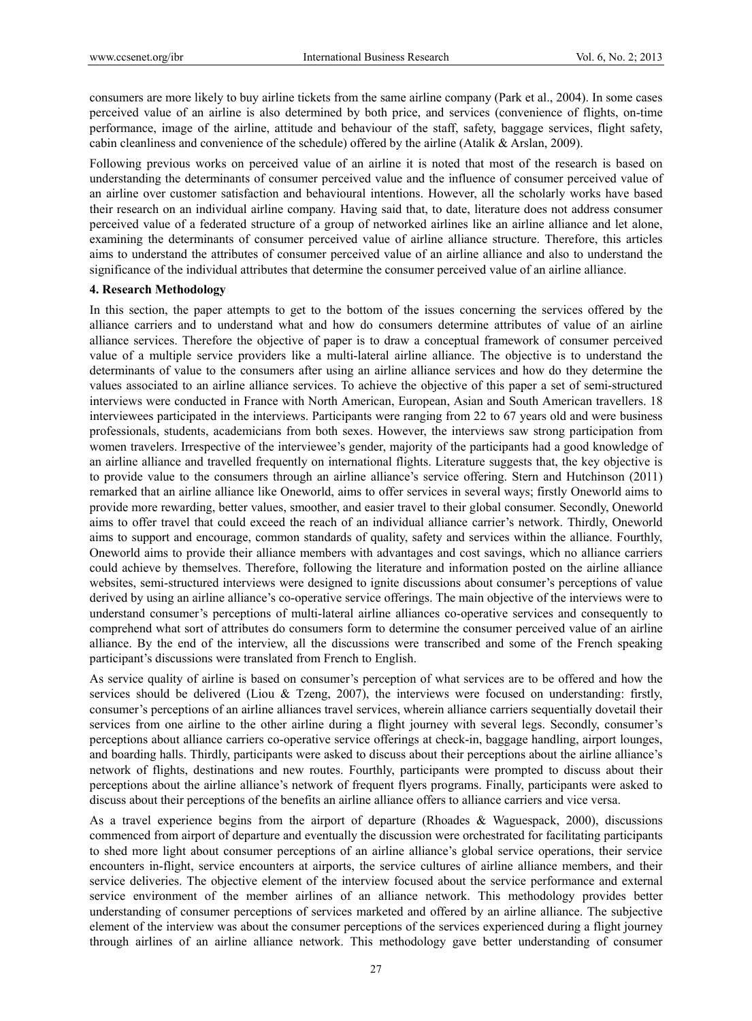consumers are more likely to buy airline tickets from the same airline company (Park et al., 2004). In some cases perceived value of an airline is also determined by both price, and services (convenience of flights, on-time performance, image of the airline, attitude and behaviour of the staff, safety, baggage services, flight safety, cabin cleanliness and convenience of the schedule) offered by the airline (Atalik & Arslan, 2009).

Following previous works on perceived value of an airline it is noted that most of the research is based on understanding the determinants of consumer perceived value and the influence of consumer perceived value of an airline over customer satisfaction and behavioural intentions. However, all the scholarly works have based their research on an individual airline company. Having said that, to date, literature does not address consumer perceived value of a federated structure of a group of networked airlines like an airline alliance and let alone, examining the determinants of consumer perceived value of airline alliance structure. Therefore, this articles aims to understand the attributes of consumer perceived value of an airline alliance and also to understand the significance of the individual attributes that determine the consumer perceived value of an airline alliance.

## **4. Research Methodology**

In this section, the paper attempts to get to the bottom of the issues concerning the services offered by the alliance carriers and to understand what and how do consumers determine attributes of value of an airline alliance services. Therefore the objective of paper is to draw a conceptual framework of consumer perceived value of a multiple service providers like a multi-lateral airline alliance. The objective is to understand the determinants of value to the consumers after using an airline alliance services and how do they determine the values associated to an airline alliance services. To achieve the objective of this paper a set of semi-structured interviews were conducted in France with North American, European, Asian and South American travellers. 18 interviewees participated in the interviews. Participants were ranging from 22 to 67 years old and were business professionals, students, academicians from both sexes. However, the interviews saw strong participation from women travelers. Irrespective of the interviewee's gender, majority of the participants had a good knowledge of an airline alliance and travelled frequently on international flights. Literature suggests that, the key objective is to provide value to the consumers through an airline alliance's service offering. Stern and Hutchinson (2011) remarked that an airline alliance like Oneworld, aims to offer services in several ways; firstly Oneworld aims to provide more rewarding, better values, smoother, and easier travel to their global consumer. Secondly, Oneworld aims to offer travel that could exceed the reach of an individual alliance carrier's network. Thirdly, Oneworld aims to support and encourage, common standards of quality, safety and services within the alliance. Fourthly, Oneworld aims to provide their alliance members with advantages and cost savings, which no alliance carriers could achieve by themselves. Therefore, following the literature and information posted on the airline alliance websites, semi-structured interviews were designed to ignite discussions about consumer's perceptions of value derived by using an airline alliance's co-operative service offerings. The main objective of the interviews were to understand consumer's perceptions of multi-lateral airline alliances co-operative services and consequently to comprehend what sort of attributes do consumers form to determine the consumer perceived value of an airline alliance. By the end of the interview, all the discussions were transcribed and some of the French speaking participant's discussions were translated from French to English.

As service quality of airline is based on consumer's perception of what services are to be offered and how the services should be delivered (Liou & Tzeng, 2007), the interviews were focused on understanding: firstly, consumer's perceptions of an airline alliances travel services, wherein alliance carriers sequentially dovetail their services from one airline to the other airline during a flight journey with several legs. Secondly, consumer's perceptions about alliance carriers co-operative service offerings at check-in, baggage handling, airport lounges, and boarding halls. Thirdly, participants were asked to discuss about their perceptions about the airline alliance's network of flights, destinations and new routes. Fourthly, participants were prompted to discuss about their perceptions about the airline alliance's network of frequent flyers programs. Finally, participants were asked to discuss about their perceptions of the benefits an airline alliance offers to alliance carriers and vice versa.

As a travel experience begins from the airport of departure (Rhoades & Waguespack, 2000), discussions commenced from airport of departure and eventually the discussion were orchestrated for facilitating participants to shed more light about consumer perceptions of an airline alliance's global service operations, their service encounters in-flight, service encounters at airports, the service cultures of airline alliance members, and their service deliveries. The objective element of the interview focused about the service performance and external service environment of the member airlines of an alliance network. This methodology provides better understanding of consumer perceptions of services marketed and offered by an airline alliance. The subjective element of the interview was about the consumer perceptions of the services experienced during a flight journey through airlines of an airline alliance network. This methodology gave better understanding of consumer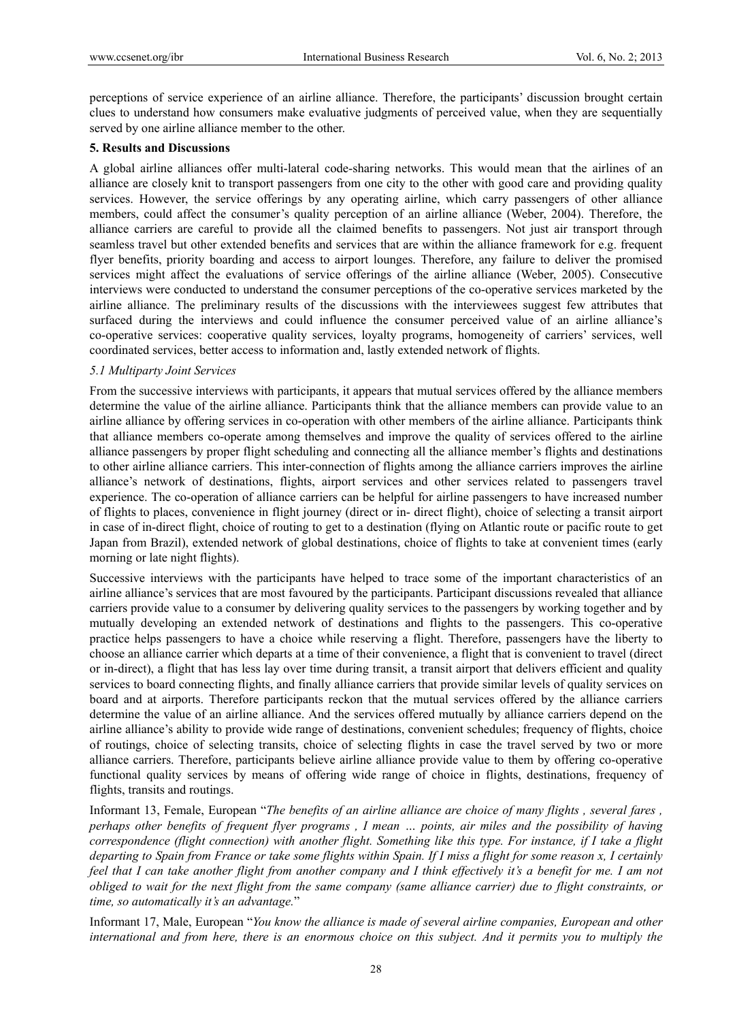perceptions of service experience of an airline alliance. Therefore, the participants' discussion brought certain clues to understand how consumers make evaluative judgments of perceived value, when they are sequentially served by one airline alliance member to the other.

## **5. Results and Discussions**

A global airline alliances offer multi-lateral code-sharing networks. This would mean that the airlines of an alliance are closely knit to transport passengers from one city to the other with good care and providing quality services. However, the service offerings by any operating airline, which carry passengers of other alliance members, could affect the consumer's quality perception of an airline alliance (Weber, 2004). Therefore, the alliance carriers are careful to provide all the claimed benefits to passengers. Not just air transport through seamless travel but other extended benefits and services that are within the alliance framework for e.g. frequent flyer benefits, priority boarding and access to airport lounges. Therefore, any failure to deliver the promised services might affect the evaluations of service offerings of the airline alliance (Weber, 2005). Consecutive interviews were conducted to understand the consumer perceptions of the co-operative services marketed by the airline alliance. The preliminary results of the discussions with the interviewees suggest few attributes that surfaced during the interviews and could influence the consumer perceived value of an airline alliance's co-operative services: cooperative quality services, loyalty programs, homogeneity of carriers' services, well coordinated services, better access to information and, lastly extended network of flights.

## *5.1 Multiparty Joint Services*

From the successive interviews with participants, it appears that mutual services offered by the alliance members determine the value of the airline alliance. Participants think that the alliance members can provide value to an airline alliance by offering services in co-operation with other members of the airline alliance. Participants think that alliance members co-operate among themselves and improve the quality of services offered to the airline alliance passengers by proper flight scheduling and connecting all the alliance member's flights and destinations to other airline alliance carriers. This inter-connection of flights among the alliance carriers improves the airline alliance's network of destinations, flights, airport services and other services related to passengers travel experience. The co-operation of alliance carriers can be helpful for airline passengers to have increased number of flights to places, convenience in flight journey (direct or in- direct flight), choice of selecting a transit airport in case of in-direct flight, choice of routing to get to a destination (flying on Atlantic route or pacific route to get Japan from Brazil), extended network of global destinations, choice of flights to take at convenient times (early morning or late night flights).

Successive interviews with the participants have helped to trace some of the important characteristics of an airline alliance's services that are most favoured by the participants. Participant discussions revealed that alliance carriers provide value to a consumer by delivering quality services to the passengers by working together and by mutually developing an extended network of destinations and flights to the passengers. This co-operative practice helps passengers to have a choice while reserving a flight. Therefore, passengers have the liberty to choose an alliance carrier which departs at a time of their convenience, a flight that is convenient to travel (direct or in-direct), a flight that has less lay over time during transit, a transit airport that delivers efficient and quality services to board connecting flights, and finally alliance carriers that provide similar levels of quality services on board and at airports. Therefore participants reckon that the mutual services offered by the alliance carriers determine the value of an airline alliance. And the services offered mutually by alliance carriers depend on the airline alliance's ability to provide wide range of destinations, convenient schedules; frequency of flights, choice of routings, choice of selecting transits, choice of selecting flights in case the travel served by two or more alliance carriers. Therefore, participants believe airline alliance provide value to them by offering co-operative functional quality services by means of offering wide range of choice in flights, destinations, frequency of flights, transits and routings.

Informant 13, Female, European "*The benefits of an airline alliance are choice of many flights , several fares , perhaps other benefits of frequent flyer programs , I mean … points, air miles and the possibility of having correspondence (flight connection) with another flight. Something like this type. For instance, if I take a flight departing to Spain from France or take some flights within Spain. If I miss a flight for some reason x, I certainly feel that I can take another flight from another company and I think effectively it's a benefit for me. I am not obliged to wait for the next flight from the same company (same alliance carrier) due to flight constraints, or time, so automatically it's an advantage.*"

Informant 17, Male, European "*You know the alliance is made of several airline companies, European and other international and from here, there is an enormous choice on this subject. And it permits you to multiply the*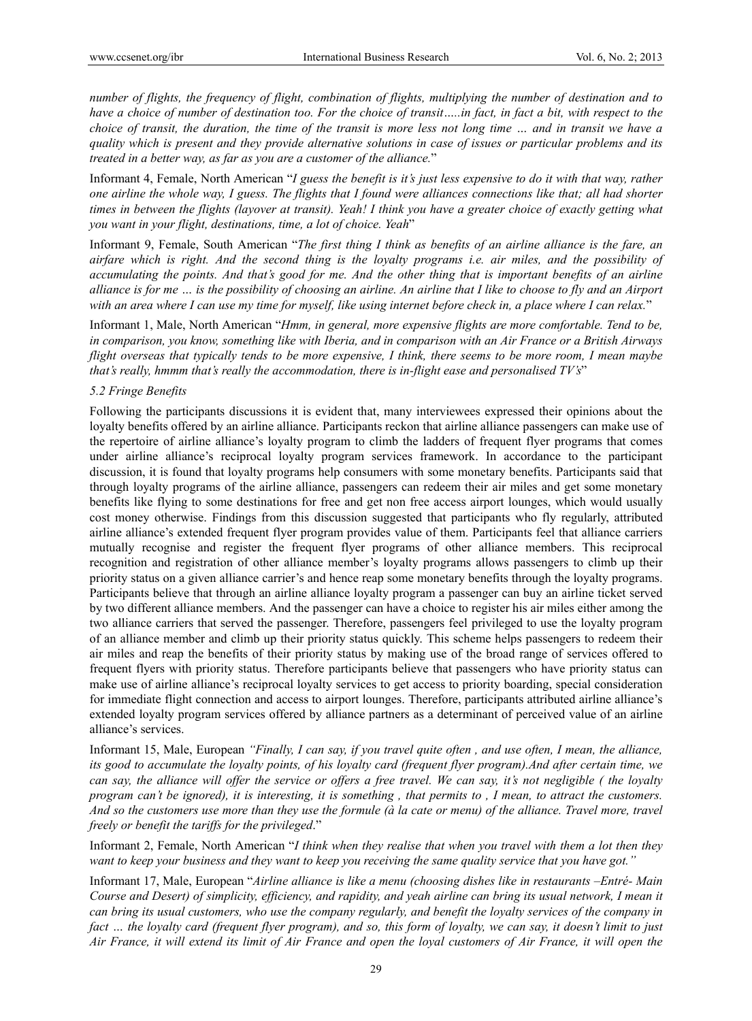*number of flights, the frequency of flight, combination of flights, multiplying the number of destination and to have a choice of number of destination too. For the choice of transit…..in fact, in fact a bit, with respect to the choice of transit, the duration, the time of the transit is more less not long time … and in transit we have a quality which is present and they provide alternative solutions in case of issues or particular problems and its treated in a better way, as far as you are a customer of the alliance.*"

Informant 4, Female, North American "*I guess the benefit is it's just less expensive to do it with that way, rather one airline the whole way, I guess. The flights that I found were alliances connections like that; all had shorter times in between the flights (layover at transit). Yeah! I think you have a greater choice of exactly getting what you want in your flight, destinations, time, a lot of choice. Yeah*"

Informant 9, Female, South American "*The first thing I think as benefits of an airline alliance is the fare, an airfare which is right. And the second thing is the loyalty programs i.e. air miles, and the possibility of accumulating the points. And that's good for me. And the other thing that is important benefits of an airline alliance is for me … is the possibility of choosing an airline. An airline that I like to choose to fly and an Airport with an area where I can use my time for myself, like using internet before check in, a place where I can relax.*"

Informant 1, Male, North American "*Hmm, in general, more expensive flights are more comfortable. Tend to be, in comparison, you know, something like with Iberia, and in comparison with an Air France or a British Airways flight overseas that typically tends to be more expensive, I think, there seems to be more room, I mean maybe that's really, hmmm that's really the accommodation, there is in-flight ease and personalised TV's*"

## *5.2 Fringe Benefits*

Following the participants discussions it is evident that, many interviewees expressed their opinions about the loyalty benefits offered by an airline alliance. Participants reckon that airline alliance passengers can make use of the repertoire of airline alliance's loyalty program to climb the ladders of frequent flyer programs that comes under airline alliance's reciprocal loyalty program services framework. In accordance to the participant discussion, it is found that loyalty programs help consumers with some monetary benefits. Participants said that through loyalty programs of the airline alliance, passengers can redeem their air miles and get some monetary benefits like flying to some destinations for free and get non free access airport lounges, which would usually cost money otherwise. Findings from this discussion suggested that participants who fly regularly, attributed airline alliance's extended frequent flyer program provides value of them. Participants feel that alliance carriers mutually recognise and register the frequent flyer programs of other alliance members. This reciprocal recognition and registration of other alliance member's loyalty programs allows passengers to climb up their priority status on a given alliance carrier's and hence reap some monetary benefits through the loyalty programs. Participants believe that through an airline alliance loyalty program a passenger can buy an airline ticket served by two different alliance members. And the passenger can have a choice to register his air miles either among the two alliance carriers that served the passenger. Therefore, passengers feel privileged to use the loyalty program of an alliance member and climb up their priority status quickly. This scheme helps passengers to redeem their air miles and reap the benefits of their priority status by making use of the broad range of services offered to frequent flyers with priority status. Therefore participants believe that passengers who have priority status can make use of airline alliance's reciprocal loyalty services to get access to priority boarding, special consideration for immediate flight connection and access to airport lounges. Therefore, participants attributed airline alliance's extended loyalty program services offered by alliance partners as a determinant of perceived value of an airline alliance's services.

Informant 15, Male, European *"Finally, I can say, if you travel quite often , and use often, I mean, the alliance, its good to accumulate the loyalty points, of his loyalty card (frequent flyer program).And after certain time, we can say, the alliance will offer the service or offers a free travel. We can say, it's not negligible ( the loyalty program can't be ignored), it is interesting, it is something , that permits to , I mean, to attract the customers. And so the customers use more than they use the formule (à la cate or menu) of the alliance. Travel more, travel freely or benefit the tariffs for the privileged*."

Informant 2, Female, North American "*I think when they realise that when you travel with them a lot then they want to keep your business and they want to keep you receiving the same quality service that you have got."*

Informant 17, Male, European "*Airline alliance is like a menu (choosing dishes like in restaurants –Entré- Main Course and Desert) of simplicity, efficiency, and rapidity, and yeah airline can bring its usual network, I mean it can bring its usual customers, who use the company regularly, and benefit the loyalty services of the company in fact … the loyalty card (frequent flyer program), and so, this form of loyalty, we can say, it doesn't limit to just Air France, it will extend its limit of Air France and open the loyal customers of Air France, it will open the*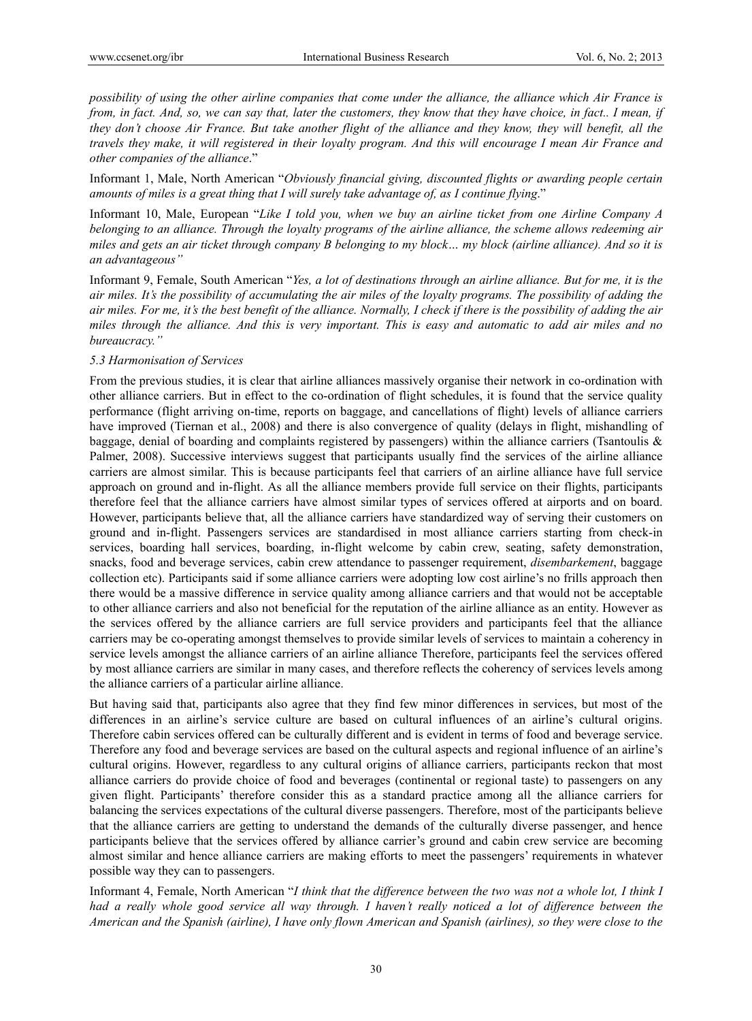*possibility of using the other airline companies that come under the alliance, the alliance which Air France is from, in fact. And, so, we can say that, later the customers, they know that they have choice, in fact.. I mean, if they don't choose Air France. But take another flight of the alliance and they know, they will benefit, all the travels they make, it will registered in their loyalty program. And this will encourage I mean Air France and other companies of the alliance*."

Informant 1, Male, North American "*Obviously financial giving, discounted flights or awarding people certain amounts of miles is a great thing that I will surely take advantage of, as I continue flying*."

Informant 10, Male, European "*Like I told you, when we buy an airline ticket from one Airline Company A belonging to an alliance. Through the loyalty programs of the airline alliance, the scheme allows redeeming air miles and gets an air ticket through company B belonging to my block… my block (airline alliance). And so it is an advantageous"*

Informant 9, Female, South American "*Yes, a lot of destinations through an airline alliance. But for me, it is the air miles. It's the possibility of accumulating the air miles of the loyalty programs. The possibility of adding the air miles. For me, it's the best benefit of the alliance. Normally, I check if there is the possibility of adding the air miles through the alliance. And this is very important. This is easy and automatic to add air miles and no bureaucracy."*

## *5.3 Harmonisation of Services*

From the previous studies, it is clear that airline alliances massively organise their network in co-ordination with other alliance carriers. But in effect to the co-ordination of flight schedules, it is found that the service quality performance (flight arriving on-time, reports on baggage, and cancellations of flight) levels of alliance carriers have improved (Tiernan et al., 2008) and there is also convergence of quality (delays in flight, mishandling of baggage, denial of boarding and complaints registered by passengers) within the alliance carriers (Tsantoulis & Palmer, 2008). Successive interviews suggest that participants usually find the services of the airline alliance carriers are almost similar. This is because participants feel that carriers of an airline alliance have full service approach on ground and in-flight. As all the alliance members provide full service on their flights, participants therefore feel that the alliance carriers have almost similar types of services offered at airports and on board. However, participants believe that, all the alliance carriers have standardized way of serving their customers on ground and in-flight. Passengers services are standardised in most alliance carriers starting from check-in services, boarding hall services, boarding, in-flight welcome by cabin crew, seating, safety demonstration, snacks, food and beverage services, cabin crew attendance to passenger requirement, *disembarkement*, baggage collection etc). Participants said if some alliance carriers were adopting low cost airline's no frills approach then there would be a massive difference in service quality among alliance carriers and that would not be acceptable to other alliance carriers and also not beneficial for the reputation of the airline alliance as an entity. However as the services offered by the alliance carriers are full service providers and participants feel that the alliance carriers may be co-operating amongst themselves to provide similar levels of services to maintain a coherency in service levels amongst the alliance carriers of an airline alliance Therefore, participants feel the services offered by most alliance carriers are similar in many cases, and therefore reflects the coherency of services levels among the alliance carriers of a particular airline alliance.

But having said that, participants also agree that they find few minor differences in services, but most of the differences in an airline's service culture are based on cultural influences of an airline's cultural origins. Therefore cabin services offered can be culturally different and is evident in terms of food and beverage service. Therefore any food and beverage services are based on the cultural aspects and regional influence of an airline's cultural origins. However, regardless to any cultural origins of alliance carriers, participants reckon that most alliance carriers do provide choice of food and beverages (continental or regional taste) to passengers on any given flight. Participants' therefore consider this as a standard practice among all the alliance carriers for balancing the services expectations of the cultural diverse passengers. Therefore, most of the participants believe that the alliance carriers are getting to understand the demands of the culturally diverse passenger, and hence participants believe that the services offered by alliance carrier's ground and cabin crew service are becoming almost similar and hence alliance carriers are making efforts to meet the passengers' requirements in whatever possible way they can to passengers.

Informant 4, Female, North American "*I think that the difference between the two was not a whole lot, I think I had a really whole good service all way through. I haven't really noticed a lot of difference between the American and the Spanish (airline), I have only flown American and Spanish (airlines), so they were close to the*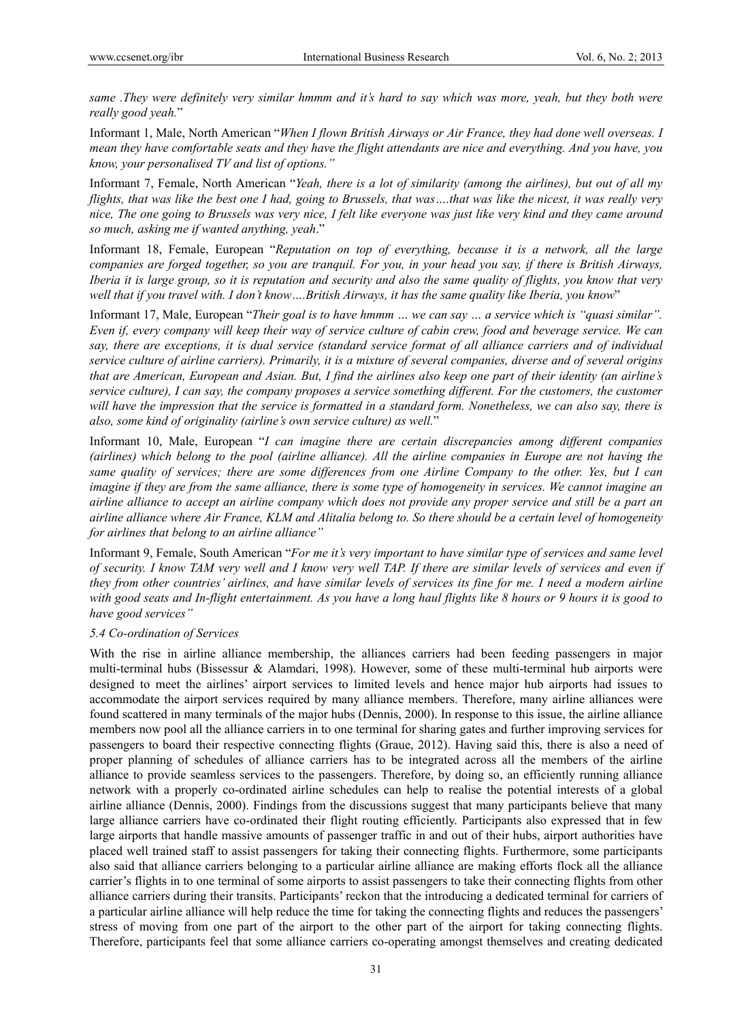*same .They were definitely very similar hmmm and it's hard to say which was more, yeah, but they both were really good yeah.*"

Informant 1, Male, North American "*When I flown British Airways or Air France, they had done well overseas. I mean they have comfortable seats and they have the flight attendants are nice and everything. And you have, you know, your personalised TV and list of options."*

Informant 7, Female, North American "*Yeah, there is a lot of similarity (among the airlines), but out of all my flights, that was like the best one I had, going to Brussels, that was….that was like the nicest, it was really very nice, The one going to Brussels was very nice, I felt like everyone was just like very kind and they came around so much, asking me if wanted anything, yeah*."

Informant 18, Female, European "*Reputation on top of everything, because it is a network, all the large companies are forged together, so you are tranquil. For you, in your head you say, if there is British Airways, Iberia it is large group, so it is reputation and security and also the same quality of flights, you know that very well that if you travel with. I don't know….British Airways, it has the same quality like Iberia, you know*"

Informant 17, Male, European "*Their goal is to have hmmm … we can say … a service which is "quasi similar". Even if, every company will keep their way of service culture of cabin crew, food and beverage service. We can say, there are exceptions, it is dual service (standard service format of all alliance carriers and of individual service culture of airline carriers). Primarily, it is a mixture of several companies, diverse and of several origins that are American, European and Asian. But, I find the airlines also keep one part of their identity (an airline's service culture), I can say, the company proposes a service something different. For the customers, the customer will have the impression that the service is formatted in a standard form. Nonetheless, we can also say, there is also, some kind of originality (airline's own service culture) as well.*"

Informant 10, Male, European "*I can imagine there are certain discrepancies among different companies (airlines) which belong to the pool (airline alliance). All the airline companies in Europe are not having the same quality of services; there are some differences from one Airline Company to the other. Yes, but I can imagine if they are from the same alliance, there is some type of homogeneity in services. We cannot imagine an airline alliance to accept an airline company which does not provide any proper service and still be a part an airline alliance where Air France, KLM and Alitalia belong to. So there should be a certain level of homogeneity for airlines that belong to an airline alliance"*

Informant 9, Female, South American "*For me it's very important to have similar type of services and same level of security. I know TAM very well and I know very well TAP. If there are similar levels of services and even if they from other countries' airlines, and have similar levels of services its fine for me. I need a modern airline with good seats and In-flight entertainment. As you have a long haul flights like 8 hours or 9 hours it is good to have good services"*

## *5.4 Co-ordination of Services*

With the rise in airline alliance membership, the alliances carriers had been feeding passengers in major multi-terminal hubs (Bissessur & Alamdari, 1998). However, some of these multi-terminal hub airports were designed to meet the airlines' airport services to limited levels and hence major hub airports had issues to accommodate the airport services required by many alliance members. Therefore, many airline alliances were found scattered in many terminals of the major hubs (Dennis, 2000). In response to this issue, the airline alliance members now pool all the alliance carriers in to one terminal for sharing gates and further improving services for passengers to board their respective connecting flights (Graue, 2012). Having said this, there is also a need of proper planning of schedules of alliance carriers has to be integrated across all the members of the airline alliance to provide seamless services to the passengers. Therefore, by doing so, an efficiently running alliance network with a properly co-ordinated airline schedules can help to realise the potential interests of a global airline alliance (Dennis, 2000). Findings from the discussions suggest that many participants believe that many large alliance carriers have co-ordinated their flight routing efficiently. Participants also expressed that in few large airports that handle massive amounts of passenger traffic in and out of their hubs, airport authorities have placed well trained staff to assist passengers for taking their connecting flights. Furthermore, some participants also said that alliance carriers belonging to a particular airline alliance are making efforts flock all the alliance carrier's flights in to one terminal of some airports to assist passengers to take their connecting flights from other alliance carriers during their transits. Participants' reckon that the introducing a dedicated terminal for carriers of a particular airline alliance will help reduce the time for taking the connecting flights and reduces the passengers' stress of moving from one part of the airport to the other part of the airport for taking connecting flights. Therefore, participants feel that some alliance carriers co-operating amongst themselves and creating dedicated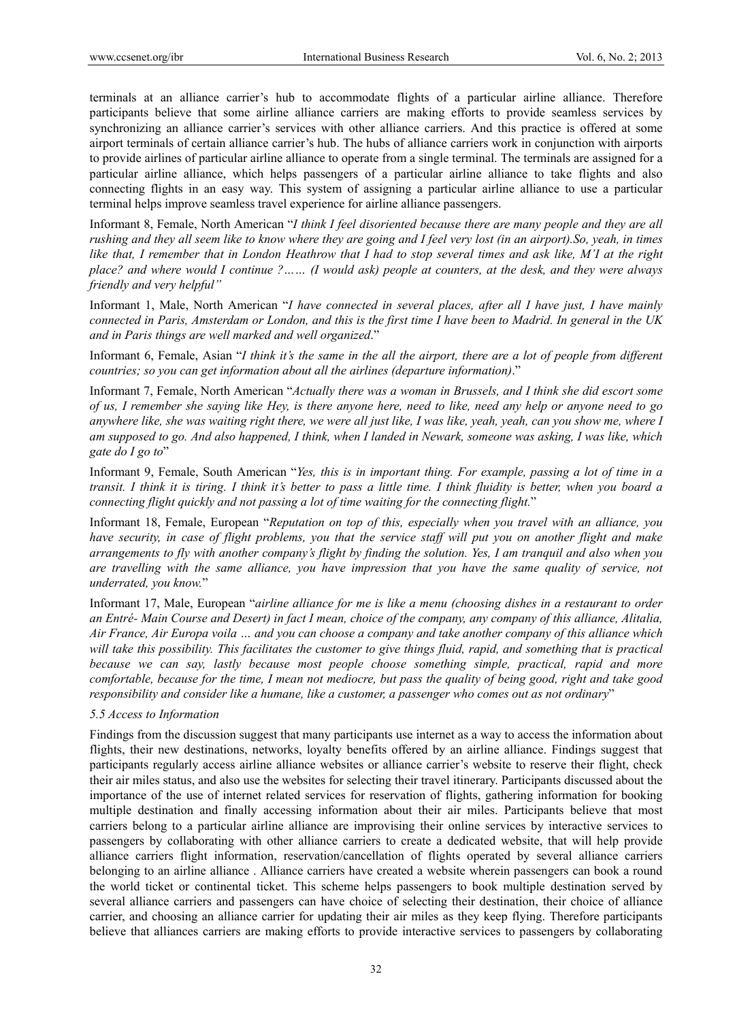terminals at an alliance carrier's hub to accommodate flights of a particular airline alliance. Therefore participants believe that some airline alliance carriers are making efforts to provide seamless services by synchronizing an alliance carrier's services with other alliance carriers. And this practice is offered at some airport terminals of certain alliance carrier's hub. The hubs of alliance carriers work in conjunction with airports to provide airlines of particular airline alliance to operate from a single terminal. The terminals are assigned for a particular airline alliance, which helps passengers of a particular airline alliance to take flights and also connecting flights in an easy way. This system of assigning a particular airline alliance to use a particular terminal helps improve seamless travel experience for airline alliance passengers.

Informant 8, Female, North American "*I think I feel disoriented because there are many people and they are all rushing and they all seem like to know where they are going and I feel very lost (in an airport).So, yeah, in times like that, I remember that in London Heathrow that I had to stop several times and ask like, M'I at the right place? and where would I continue ?…… (I would ask) people at counters, at the desk, and they were always friendly and very helpful"*

Informant 1, Male, North American "*I have connected in several places, after all I have just, I have mainly connected in Paris, Amsterdam or London, and this is the first time I have been to Madrid. In general in the UK and in Paris things are well marked and well organized*."

Informant 6, Female, Asian "*I think it's the same in the all the airport, there are a lot of people from different countries; so you can get information about all the airlines (departure information)*."

Informant 7, Female, North American "*Actually there was a woman in Brussels, and I think she did escort some of us, I remember she saying like Hey, is there anyone here, need to like, need any help or anyone need to go anywhere like, she was waiting right there, we were all just like, I was like, yeah, yeah, can you show me, where I am supposed to go. And also happened, I think, when I landed in Newark, someone was asking, I was like, which gate do I go to*"

Informant 9, Female, South American "*Yes, this is in important thing. For example, passing a lot of time in a transit. I think it is tiring. I think it's better to pass a little time. I think fluidity is better, when you board a connecting flight quickly and not passing a lot of time waiting for the connecting flight.*"

Informant 18, Female, European "*Reputation on top of this, especially when you travel with an alliance, you have security, in case of flight problems, you that the service staff will put you on another flight and make arrangements to fly with another company's flight by finding the solution. Yes, I am tranquil and also when you are travelling with the same alliance, you have impression that you have the same quality of service, not underrated, you know.*"

Informant 17, Male, European "*airline alliance for me is like a menu (choosing dishes in a restaurant to order an Entré- Main Course and Desert) in fact I mean, choice of the company, any company of this alliance, Alitalia, Air France, Air Europa voila … and you can choose a company and take another company of this alliance which will take this possibility. This facilitates the customer to give things fluid, rapid, and something that is practical because we can say, lastly because most people choose something simple, practical, rapid and more comfortable, because for the time, I mean not mediocre, but pass the quality of being good, right and take good responsibility and consider like a humane, like a customer, a passenger who comes out as not ordinary*"

## *5.5 Access to Information*

Findings from the discussion suggest that many participants use internet as a way to access the information about flights, their new destinations, networks, loyalty benefits offered by an airline alliance. Findings suggest that participants regularly access airline alliance websites or alliance carrier's website to reserve their flight, check their air miles status, and also use the websites for selecting their travel itinerary. Participants discussed about the importance of the use of internet related services for reservation of flights, gathering information for booking multiple destination and finally accessing information about their air miles. Participants believe that most carriers belong to a particular airline alliance are improvising their online services by interactive services to passengers by collaborating with other alliance carriers to create a dedicated website, that will help provide alliance carriers flight information, reservation/cancellation of flights operated by several alliance carriers belonging to an airline alliance . Alliance carriers have created a website wherein passengers can book a round the world ticket or continental ticket. This scheme helps passengers to book multiple destination served by several alliance carriers and passengers can have choice of selecting their destination, their choice of alliance carrier, and choosing an alliance carrier for updating their air miles as they keep flying. Therefore participants believe that alliances carriers are making efforts to provide interactive services to passengers by collaborating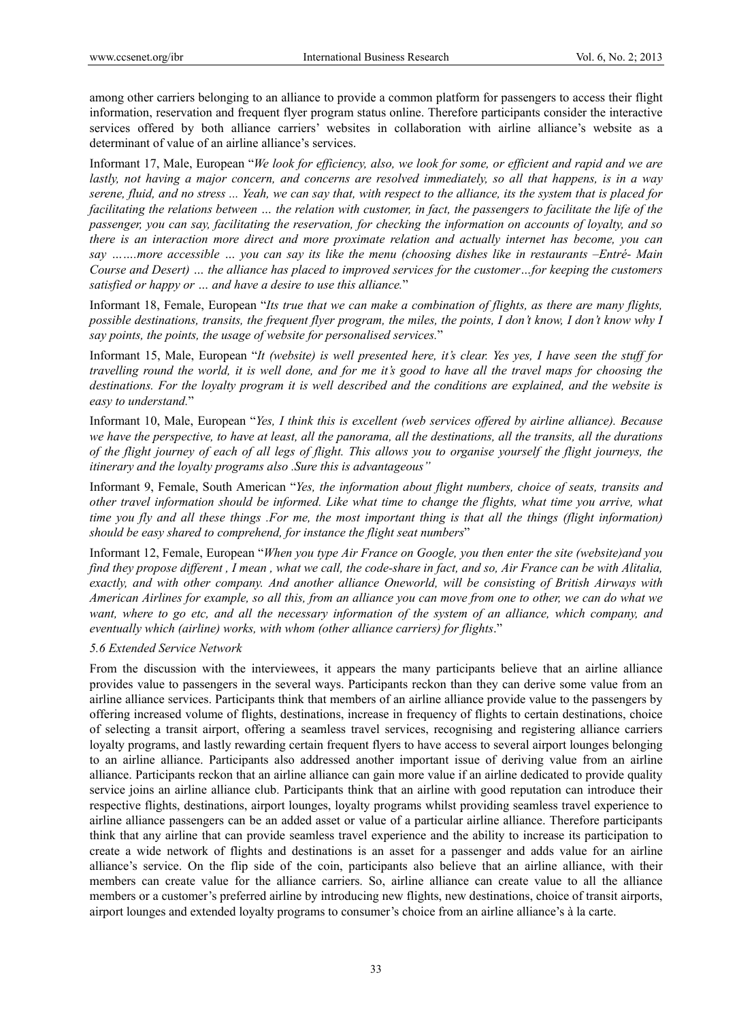among other carriers belonging to an alliance to provide a common platform for passengers to access their flight information, reservation and frequent flyer program status online. Therefore participants consider the interactive services offered by both alliance carriers' websites in collaboration with airline alliance's website as a determinant of value of an airline alliance's services.

Informant 17, Male, European "*We look for efficiency, also, we look for some, or efficient and rapid and we are lastly, not having a major concern, and concerns are resolved immediately, so all that happens, is in a way serene, fluid, and no stress ... Yeah, we can say that, with respect to the alliance, its the system that is placed for facilitating the relations between … the relation with customer, in fact, the passengers to facilitate the life of the passenger, you can say, facilitating the reservation, for checking the information on accounts of loyalty, and so there is an interaction more direct and more proximate relation and actually internet has become, you can say …….more accessible … you can say its like the menu (choosing dishes like in restaurants –Entré- Main Course and Desert) … the alliance has placed to improved services for the customer…for keeping the customers satisfied or happy or … and have a desire to use this alliance.*"

Informant 18, Female, European "*Its true that we can make a combination of flights, as there are many flights, possible destinations, transits, the frequent flyer program, the miles, the points, I don't know, I don't know why I say points, the points, the usage of website for personalised services.*"

Informant 15, Male, European "*It (website) is well presented here, it's clear. Yes yes, I have seen the stuff for travelling round the world, it is well done, and for me it's good to have all the travel maps for choosing the destinations. For the loyalty program it is well described and the conditions are explained, and the website is easy to understand.*"

Informant 10, Male, European "*Yes, I think this is excellent (web services offered by airline alliance). Because we have the perspective, to have at least, all the panorama, all the destinations, all the transits, all the durations of the flight journey of each of all legs of flight. This allows you to organise yourself the flight journeys, the itinerary and the loyalty programs also .Sure this is advantageous"*

Informant 9, Female, South American "*Yes, the information about flight numbers, choice of seats, transits and other travel information should be informed. Like what time to change the flights, what time you arrive, what time you fly and all these things .For me, the most important thing is that all the things (flight information) should be easy shared to comprehend, for instance the flight seat numbers*"

Informant 12, Female, European "*When you type Air France on Google, you then enter the site (website)and you find they propose different , I mean , what we call, the code-share in fact, and so, Air France can be with Alitalia, exactly, and with other company. And another alliance Oneworld, will be consisting of British Airways with American Airlines for example, so all this, from an alliance you can move from one to other, we can do what we want, where to go etc, and all the necessary information of the system of an alliance, which company, and eventually which (airline) works, with whom (other alliance carriers) for flights*."

## *5.6 Extended Service Network*

From the discussion with the interviewees, it appears the many participants believe that an airline alliance provides value to passengers in the several ways. Participants reckon than they can derive some value from an airline alliance services. Participants think that members of an airline alliance provide value to the passengers by offering increased volume of flights, destinations, increase in frequency of flights to certain destinations, choice of selecting a transit airport, offering a seamless travel services, recognising and registering alliance carriers loyalty programs, and lastly rewarding certain frequent flyers to have access to several airport lounges belonging to an airline alliance. Participants also addressed another important issue of deriving value from an airline alliance. Participants reckon that an airline alliance can gain more value if an airline dedicated to provide quality service joins an airline alliance club. Participants think that an airline with good reputation can introduce their respective flights, destinations, airport lounges, loyalty programs whilst providing seamless travel experience to airline alliance passengers can be an added asset or value of a particular airline alliance. Therefore participants think that any airline that can provide seamless travel experience and the ability to increase its participation to create a wide network of flights and destinations is an asset for a passenger and adds value for an airline alliance's service. On the flip side of the coin, participants also believe that an airline alliance, with their members can create value for the alliance carriers. So, airline alliance can create value to all the alliance members or a customer's preferred airline by introducing new flights, new destinations, choice of transit airports, airport lounges and extended loyalty programs to consumer's choice from an airline alliance's à la carte.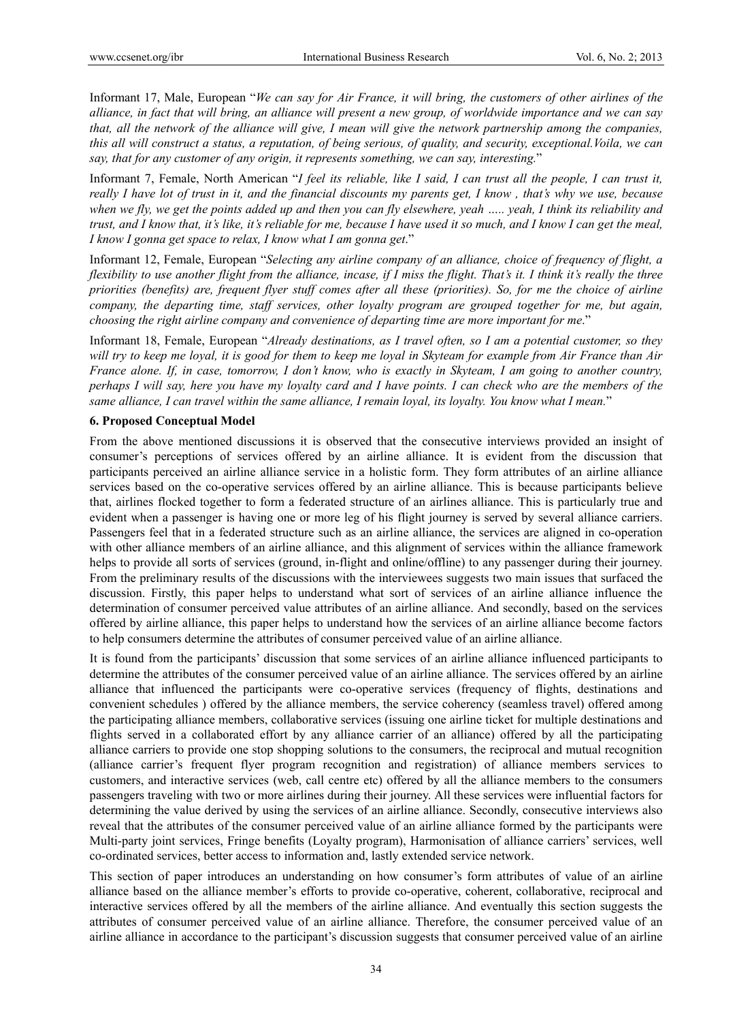Informant 17, Male, European "*We can say for Air France, it will bring, the customers of other airlines of the alliance, in fact that will bring, an alliance will present a new group, of worldwide importance and we can say that, all the network of the alliance will give, I mean will give the network partnership among the companies, this all will construct a status, a reputation, of being serious, of quality, and security, exceptional.Voila, we can say, that for any customer of any origin, it represents something, we can say, interesting.*"

Informant 7, Female, North American "*I feel its reliable, like I said, I can trust all the people, I can trust it, really I have lot of trust in it, and the financial discounts my parents get, I know , that's why we use, because when we fly, we get the points added up and then you can fly elsewhere, yeah ….. yeah, I think its reliability and trust, and I know that, it's like, it's reliable for me, because I have used it so much, and I know I can get the meal, I know I gonna get space to relax, I know what I am gonna get*."

Informant 12, Female, European "*Selecting any airline company of an alliance, choice of frequency of flight, a flexibility to use another flight from the alliance, incase, if I miss the flight. That's it. I think it's really the three priorities (benefits) are, frequent flyer stuff comes after all these (priorities). So, for me the choice of airline company, the departing time, staff services, other loyalty program are grouped together for me, but again, choosing the right airline company and convenience of departing time are more important for me*."

Informant 18, Female, European "*Already destinations, as I travel often, so I am a potential customer, so they will try to keep me loyal, it is good for them to keep me loyal in Skyteam for example from Air France than Air France alone. If, in case, tomorrow, I don't know, who is exactly in Skyteam, I am going to another country, perhaps I will say, here you have my loyalty card and I have points. I can check who are the members of the same alliance, I can travel within the same alliance, I remain loyal, its loyalty. You know what I mean.*"

## **6. Proposed Conceptual Model**

From the above mentioned discussions it is observed that the consecutive interviews provided an insight of consumer's perceptions of services offered by an airline alliance. It is evident from the discussion that participants perceived an airline alliance service in a holistic form. They form attributes of an airline alliance services based on the co-operative services offered by an airline alliance. This is because participants believe that, airlines flocked together to form a federated structure of an airlines alliance. This is particularly true and evident when a passenger is having one or more leg of his flight journey is served by several alliance carriers. Passengers feel that in a federated structure such as an airline alliance, the services are aligned in co-operation with other alliance members of an airline alliance, and this alignment of services within the alliance framework helps to provide all sorts of services (ground, in-flight and online/offline) to any passenger during their journey. From the preliminary results of the discussions with the interviewees suggests two main issues that surfaced the discussion. Firstly, this paper helps to understand what sort of services of an airline alliance influence the determination of consumer perceived value attributes of an airline alliance. And secondly, based on the services offered by airline alliance, this paper helps to understand how the services of an airline alliance become factors to help consumers determine the attributes of consumer perceived value of an airline alliance.

It is found from the participants' discussion that some services of an airline alliance influenced participants to determine the attributes of the consumer perceived value of an airline alliance. The services offered by an airline alliance that influenced the participants were co-operative services (frequency of flights, destinations and convenient schedules ) offered by the alliance members, the service coherency (seamless travel) offered among the participating alliance members, collaborative services (issuing one airline ticket for multiple destinations and flights served in a collaborated effort by any alliance carrier of an alliance) offered by all the participating alliance carriers to provide one stop shopping solutions to the consumers, the reciprocal and mutual recognition (alliance carrier's frequent flyer program recognition and registration) of alliance members services to customers, and interactive services (web, call centre etc) offered by all the alliance members to the consumers passengers traveling with two or more airlines during their journey. All these services were influential factors for determining the value derived by using the services of an airline alliance. Secondly, consecutive interviews also reveal that the attributes of the consumer perceived value of an airline alliance formed by the participants were Multi-party joint services, Fringe benefits (Loyalty program), Harmonisation of alliance carriers' services, well co-ordinated services, better access to information and, lastly extended service network.

This section of paper introduces an understanding on how consumer's form attributes of value of an airline alliance based on the alliance member's efforts to provide co-operative, coherent, collaborative, reciprocal and interactive services offered by all the members of the airline alliance. And eventually this section suggests the attributes of consumer perceived value of an airline alliance. Therefore, the consumer perceived value of an airline alliance in accordance to the participant's discussion suggests that consumer perceived value of an airline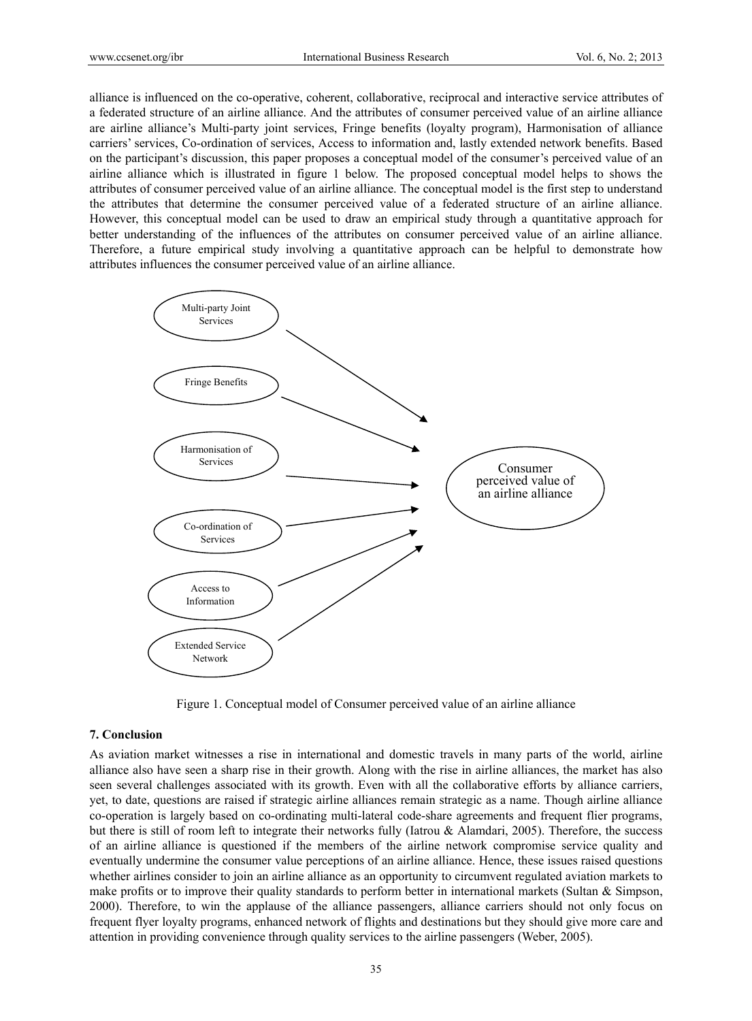alliance is influenced on the co-operative, coherent, collaborative, reciprocal and interactive service attributes of a federated structure of an airline alliance. And the attributes of consumer perceived value of an airline alliance are airline alliance's Multi-party joint services, Fringe benefits (loyalty program), Harmonisation of alliance carriers' services, Co-ordination of services, Access to information and, lastly extended network benefits. Based on the participant's discussion, this paper proposes a conceptual model of the consumer's perceived value of an airline alliance which is illustrated in figure 1 below. The proposed conceptual model helps to shows the attributes of consumer perceived value of an airline alliance. The conceptual model is the first step to understand the attributes that determine the consumer perceived value of a federated structure of an airline alliance. However, this conceptual model can be used to draw an empirical study through a quantitative approach for better understanding of the influences of the attributes on consumer perceived value of an airline alliance. Therefore, a future empirical study involving a quantitative approach can be helpful to demonstrate how attributes influences the consumer perceived value of an airline alliance.



Figure 1. Conceptual model of Consumer perceived value of an airline alliance

## **7. Conclusion**

As aviation market witnesses a rise in international and domestic travels in many parts of the world, airline alliance also have seen a sharp rise in their growth. Along with the rise in airline alliances, the market has also seen several challenges associated with its growth. Even with all the collaborative efforts by alliance carriers, yet, to date, questions are raised if strategic airline alliances remain strategic as a name. Though airline alliance co-operation is largely based on co-ordinating multi-lateral code-share agreements and frequent flier programs, but there is still of room left to integrate their networks fully (Iatrou & Alamdari, 2005). Therefore, the success of an airline alliance is questioned if the members of the airline network compromise service quality and eventually undermine the consumer value perceptions of an airline alliance. Hence, these issues raised questions whether airlines consider to join an airline alliance as an opportunity to circumvent regulated aviation markets to make profits or to improve their quality standards to perform better in international markets (Sultan & Simpson, 2000). Therefore, to win the applause of the alliance passengers, alliance carriers should not only focus on frequent flyer loyalty programs, enhanced network of flights and destinations but they should give more care and attention in providing convenience through quality services to the airline passengers (Weber, 2005).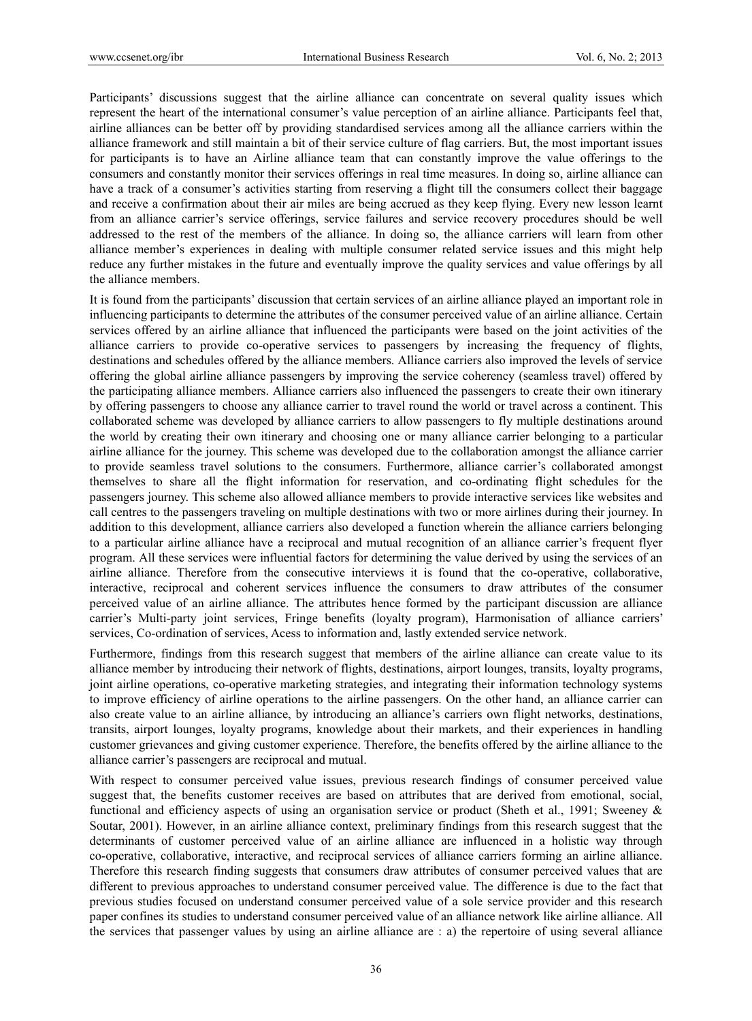Participants' discussions suggest that the airline alliance can concentrate on several quality issues which represent the heart of the international consumer's value perception of an airline alliance. Participants feel that, airline alliances can be better off by providing standardised services among all the alliance carriers within the alliance framework and still maintain a bit of their service culture of flag carriers. But, the most important issues for participants is to have an Airline alliance team that can constantly improve the value offerings to the consumers and constantly monitor their services offerings in real time measures. In doing so, airline alliance can have a track of a consumer's activities starting from reserving a flight till the consumers collect their baggage and receive a confirmation about their air miles are being accrued as they keep flying. Every new lesson learnt from an alliance carrier's service offerings, service failures and service recovery procedures should be well addressed to the rest of the members of the alliance. In doing so, the alliance carriers will learn from other alliance member's experiences in dealing with multiple consumer related service issues and this might help reduce any further mistakes in the future and eventually improve the quality services and value offerings by all the alliance members.

It is found from the participants' discussion that certain services of an airline alliance played an important role in influencing participants to determine the attributes of the consumer perceived value of an airline alliance. Certain services offered by an airline alliance that influenced the participants were based on the joint activities of the alliance carriers to provide co-operative services to passengers by increasing the frequency of flights, destinations and schedules offered by the alliance members. Alliance carriers also improved the levels of service offering the global airline alliance passengers by improving the service coherency (seamless travel) offered by the participating alliance members. Alliance carriers also influenced the passengers to create their own itinerary by offering passengers to choose any alliance carrier to travel round the world or travel across a continent. This collaborated scheme was developed by alliance carriers to allow passengers to fly multiple destinations around the world by creating their own itinerary and choosing one or many alliance carrier belonging to a particular airline alliance for the journey. This scheme was developed due to the collaboration amongst the alliance carrier to provide seamless travel solutions to the consumers. Furthermore, alliance carrier's collaborated amongst themselves to share all the flight information for reservation, and co-ordinating flight schedules for the passengers journey. This scheme also allowed alliance members to provide interactive services like websites and call centres to the passengers traveling on multiple destinations with two or more airlines during their journey. In addition to this development, alliance carriers also developed a function wherein the alliance carriers belonging to a particular airline alliance have a reciprocal and mutual recognition of an alliance carrier's frequent flyer program. All these services were influential factors for determining the value derived by using the services of an airline alliance. Therefore from the consecutive interviews it is found that the co-operative, collaborative, interactive, reciprocal and coherent services influence the consumers to draw attributes of the consumer perceived value of an airline alliance. The attributes hence formed by the participant discussion are alliance carrier's Multi-party joint services, Fringe benefits (loyalty program), Harmonisation of alliance carriers' services, Co-ordination of services, Acess to information and, lastly extended service network.

Furthermore, findings from this research suggest that members of the airline alliance can create value to its alliance member by introducing their network of flights, destinations, airport lounges, transits, loyalty programs, joint airline operations, co-operative marketing strategies, and integrating their information technology systems to improve efficiency of airline operations to the airline passengers. On the other hand, an alliance carrier can also create value to an airline alliance, by introducing an alliance's carriers own flight networks, destinations, transits, airport lounges, loyalty programs, knowledge about their markets, and their experiences in handling customer grievances and giving customer experience. Therefore, the benefits offered by the airline alliance to the alliance carrier's passengers are reciprocal and mutual.

With respect to consumer perceived value issues, previous research findings of consumer perceived value suggest that, the benefits customer receives are based on attributes that are derived from emotional, social, functional and efficiency aspects of using an organisation service or product (Sheth et al., 1991; Sweeney & Soutar, 2001). However, in an airline alliance context, preliminary findings from this research suggest that the determinants of customer perceived value of an airline alliance are influenced in a holistic way through co-operative, collaborative, interactive, and reciprocal services of alliance carriers forming an airline alliance. Therefore this research finding suggests that consumers draw attributes of consumer perceived values that are different to previous approaches to understand consumer perceived value. The difference is due to the fact that previous studies focused on understand consumer perceived value of a sole service provider and this research paper confines its studies to understand consumer perceived value of an alliance network like airline alliance. All the services that passenger values by using an airline alliance are : a) the repertoire of using several alliance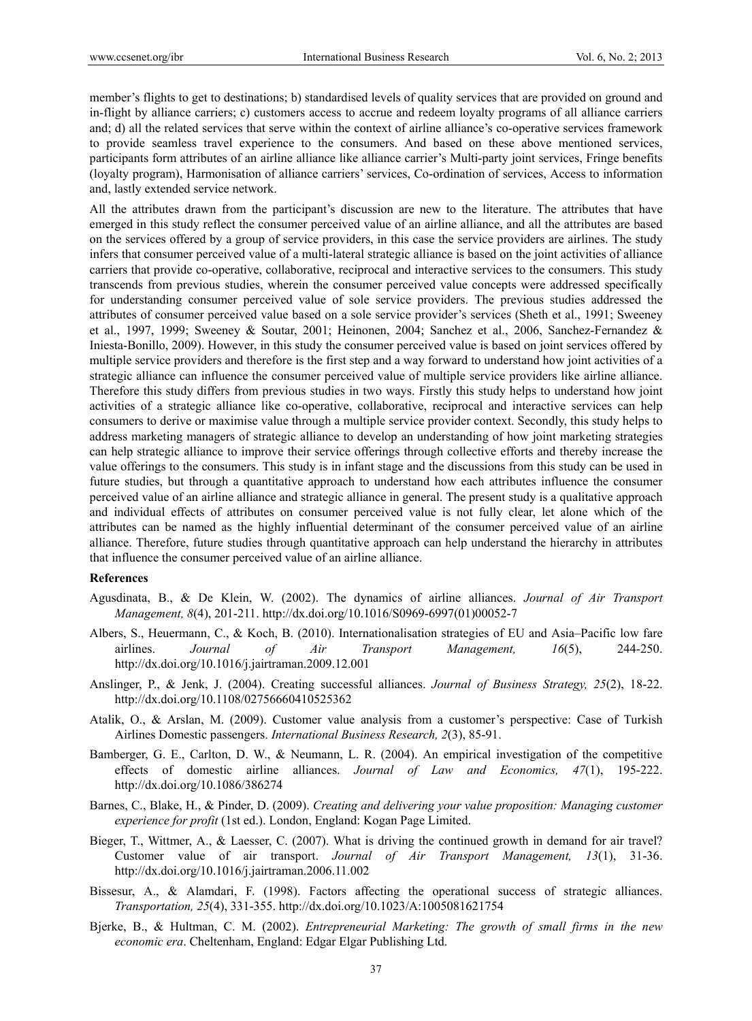member's flights to get to destinations; b) standardised levels of quality services that are provided on ground and in-flight by alliance carriers; c) customers access to accrue and redeem loyalty programs of all alliance carriers and; d) all the related services that serve within the context of airline alliance's co-operative services framework to provide seamless travel experience to the consumers. And based on these above mentioned services, participants form attributes of an airline alliance like alliance carrier's Multi-party joint services, Fringe benefits (loyalty program), Harmonisation of alliance carriers' services, Co-ordination of services, Access to information and, lastly extended service network.

All the attributes drawn from the participant's discussion are new to the literature. The attributes that have emerged in this study reflect the consumer perceived value of an airline alliance, and all the attributes are based on the services offered by a group of service providers, in this case the service providers are airlines. The study infers that consumer perceived value of a multi-lateral strategic alliance is based on the joint activities of alliance carriers that provide co-operative, collaborative, reciprocal and interactive services to the consumers. This study transcends from previous studies, wherein the consumer perceived value concepts were addressed specifically for understanding consumer perceived value of sole service providers. The previous studies addressed the attributes of consumer perceived value based on a sole service provider's services (Sheth et al., 1991; Sweeney et al., 1997, 1999; Sweeney & Soutar, 2001; Heinonen, 2004; Sanchez et al., 2006, Sanchez-Fernandez & Iniesta-Bonillo, 2009). However, in this study the consumer perceived value is based on joint services offered by multiple service providers and therefore is the first step and a way forward to understand how joint activities of a strategic alliance can influence the consumer perceived value of multiple service providers like airline alliance. Therefore this study differs from previous studies in two ways. Firstly this study helps to understand how joint activities of a strategic alliance like co-operative, collaborative, reciprocal and interactive services can help consumers to derive or maximise value through a multiple service provider context. Secondly, this study helps to address marketing managers of strategic alliance to develop an understanding of how joint marketing strategies can help strategic alliance to improve their service offerings through collective efforts and thereby increase the value offerings to the consumers. This study is in infant stage and the discussions from this study can be used in future studies, but through a quantitative approach to understand how each attributes influence the consumer perceived value of an airline alliance and strategic alliance in general. The present study is a qualitative approach and individual effects of attributes on consumer perceived value is not fully clear, let alone which of the attributes can be named as the highly influential determinant of the consumer perceived value of an airline alliance. Therefore, future studies through quantitative approach can help understand the hierarchy in attributes that influence the consumer perceived value of an airline alliance.

#### **References**

- Agusdinata, B., & De Klein, W. (2002). The dynamics of airline alliances. *Journal of Air Transport Management, 8*(4), 201-211. http://dx.doi.org/10.1016/S0969-6997(01)00052-7
- Albers, S., Heuermann, C., & Koch, B. (2010). Internationalisation strategies of EU and Asia–Pacific low fare airlines. *Journal of Air Transport Management, 16*(5), 244-250. http://dx.doi.org/10.1016/j.jairtraman.2009.12.001
- Anslinger, P., & Jenk, J. (2004). Creating successful alliances. *Journal of Business Strategy, 25*(2), 18-22. http://dx.doi.org/10.1108/02756660410525362
- Atalik, O., & Arslan, M. (2009). Customer value analysis from a customer's perspective: Case of Turkish Airlines Domestic passengers. *International Business Research, 2*(3), 85-91.
- Bamberger, G. E., Carlton, D. W., & Neumann, L. R. (2004). An empirical investigation of the competitive effects of domestic airline alliances. *Journal of Law and Economics, 47*(1), 195-222. http://dx.doi.org/10.1086/386274
- Barnes, C., Blake, H., & Pinder, D. (2009). *Creating and delivering your value proposition: Managing customer experience for profit* (1st ed.). London, England: Kogan Page Limited.
- Bieger, T., Wittmer, A., & Laesser, C. (2007). What is driving the continued growth in demand for air travel? Customer value of air transport. *Journal of Air Transport Management, 13*(1), 31-36. http://dx.doi.org/10.1016/j.jairtraman.2006.11.002
- Bissesur, A., & Alamdari, F. (1998). Factors affecting the operational success of strategic alliances. *Transportation, 25*(4), 331-355. http://dx.doi.org/10.1023/A:1005081621754
- Bjerke, B., & Hultman, C. M. (2002). *Entrepreneurial Marketing: The growth of small firms in the new economic era*. Cheltenham, England: Edgar Elgar Publishing Ltd.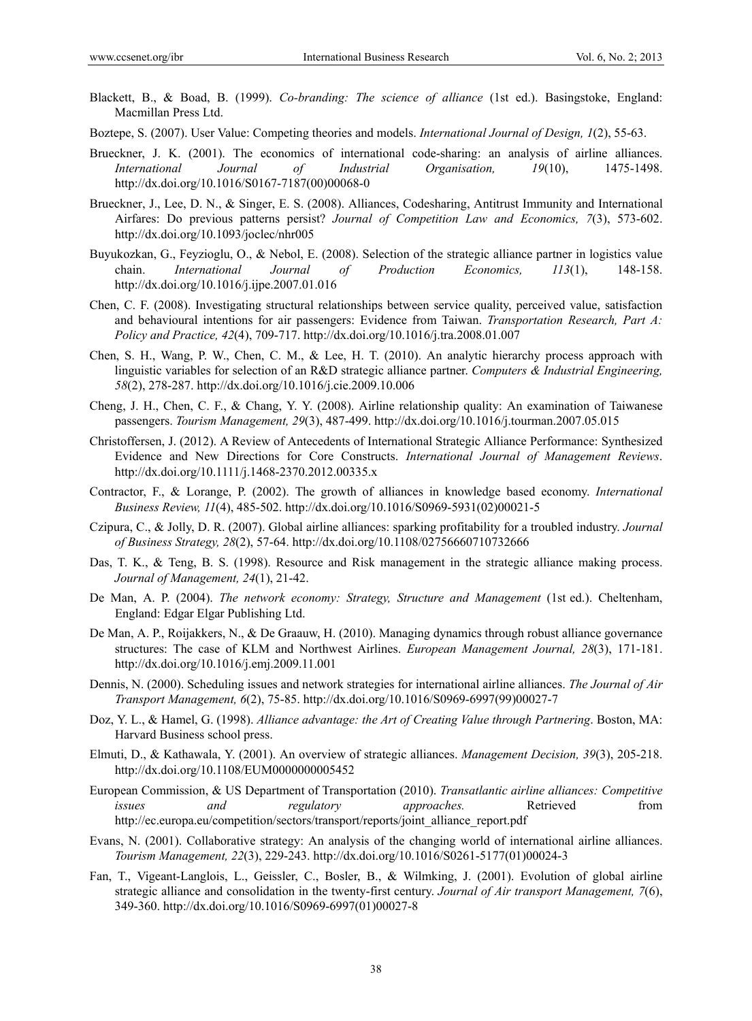- Blackett, B., & Boad, B. (1999). *Co-branding: The science of alliance* (1st ed.). Basingstoke, England: Macmillan Press Ltd.
- Boztepe, S. (2007). User Value: Competing theories and models. *International Journal of Design, 1*(2), 55-63.
- Brueckner, J. K. (2001). The economics of international code-sharing: an analysis of airline alliances. *International Journal of Industrial Organisation, 19*(10), 1475-1498. http://dx.doi.org/10.1016/S0167-7187(00)00068-0
- Brueckner, J., Lee, D. N., & Singer, E. S. (2008). Alliances, Codesharing, Antitrust Immunity and International Airfares: Do previous patterns persist? *Journal of Competition Law and Economics, 7*(3), 573-602. http://dx.doi.org/10.1093/joclec/nhr005
- Buyukozkan, G., Feyzioglu, O., & Nebol, E. (2008). Selection of the strategic alliance partner in logistics value chain. *International Journal of Production Economics, 113*(1), 148-158. http://dx.doi.org/10.1016/j.ijpe.2007.01.016
- Chen, C. F. (2008). Investigating structural relationships between service quality, perceived value, satisfaction and behavioural intentions for air passengers: Evidence from Taiwan. *Transportation Research, Part A: Policy and Practice, 42*(4), 709-717. http://dx.doi.org/10.1016/j.tra.2008.01.007
- Chen, S. H., Wang, P. W., Chen, C. M., & Lee, H. T. (2010). An analytic hierarchy process approach with linguistic variables for selection of an R&D strategic alliance partner. *Computers & Industrial Engineering, 58*(2), 278-287. http://dx.doi.org/10.1016/j.cie.2009.10.006
- Cheng, J. H., Chen, C. F., & Chang, Y. Y. (2008). Airline relationship quality: An examination of Taiwanese passengers. *Tourism Management, 29*(3), 487-499. http://dx.doi.org/10.1016/j.tourman.2007.05.015
- Christoffersen, J. (2012). A Review of Antecedents of International Strategic Alliance Performance: Synthesized Evidence and New Directions for Core Constructs. *International Journal of Management Reviews*. http://dx.doi.org/10.1111/j.1468-2370.2012.00335.x
- Contractor, F., & Lorange, P. (2002). The growth of alliances in knowledge based economy. *International Business Review, 11*(4), 485-502. http://dx.doi.org/10.1016/S0969-5931(02)00021-5
- Czipura, C., & Jolly, D. R. (2007). Global airline alliances: sparking profitability for a troubled industry. *Journal of Business Strategy, 28*(2), 57-64. http://dx.doi.org/10.1108/02756660710732666
- Das, T. K., & Teng, B. S. (1998). Resource and Risk management in the strategic alliance making process. *Journal of Management, 24*(1), 21-42.
- De Man, A. P. (2004). *The network economy: Strategy, Structure and Management* (1st ed.). Cheltenham, England: Edgar Elgar Publishing Ltd.
- De Man, A. P., Roijakkers, N., & De Graauw, H. (2010). Managing dynamics through robust alliance governance structures: The case of KLM and Northwest Airlines. *European Management Journal, 28*(3), 171-181. http://dx.doi.org/10.1016/j.emj.2009.11.001
- Dennis, N. (2000). Scheduling issues and network strategies for international airline alliances. *The Journal of Air Transport Management, 6*(2), 75-85. http://dx.doi.org/10.1016/S0969-6997(99)00027-7
- Doz, Y. L., & Hamel, G. (1998). *Alliance advantage: the Art of Creating Value through Partnering*. Boston, MA: Harvard Business school press.
- Elmuti, D., & Kathawala, Y. (2001). An overview of strategic alliances. *Management Decision, 39*(3), 205-218. http://dx.doi.org/10.1108/EUM0000000005452
- European Commission, & US Department of Transportation (2010). *Transatlantic airline alliances: Competitive issues and regulatory approaches.* Retrieved from http://ec.europa.eu/competition/sectors/transport/reports/joint\_alliance\_report.pdf
- Evans, N. (2001). Collaborative strategy: An analysis of the changing world of international airline alliances. *Tourism Management, 22*(3), 229-243. http://dx.doi.org/10.1016/S0261-5177(01)00024-3
- Fan, T., Vigeant-Langlois, L., Geissler, C., Bosler, B., & Wilmking, J. (2001). Evolution of global airline strategic alliance and consolidation in the twenty-first century. *Journal of Air transport Management, 7*(6), 349-360. http://dx.doi.org/10.1016/S0969-6997(01)00027-8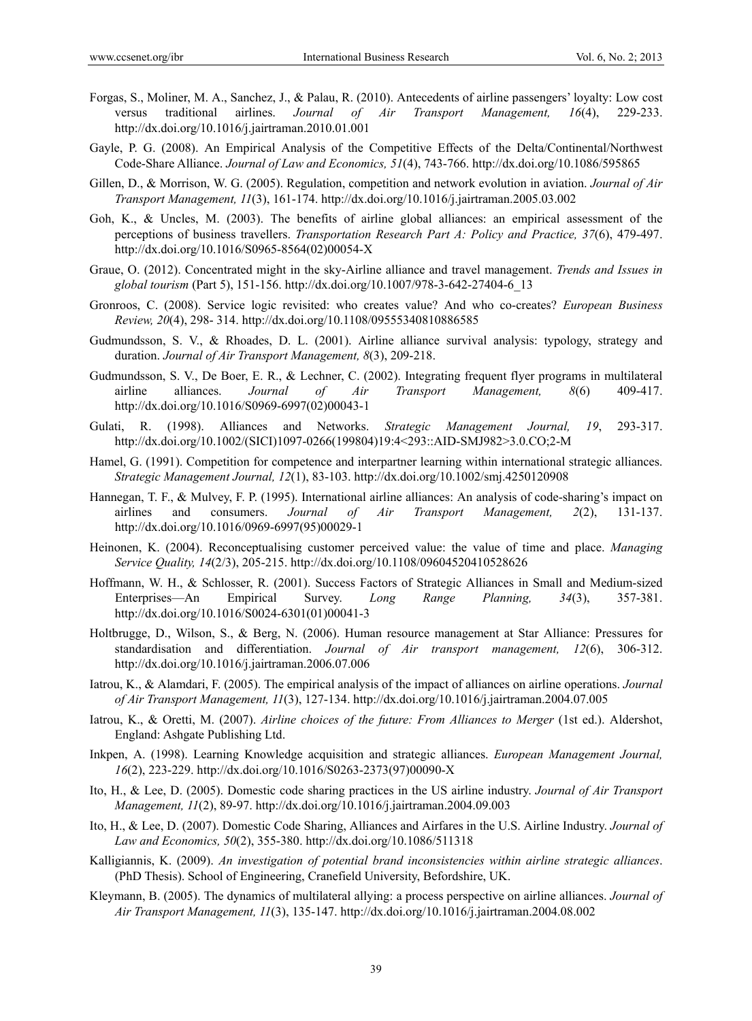- Forgas, S., Moliner, M. A., Sanchez, J., & Palau, R. (2010). Antecedents of airline passengers' loyalty: Low cost versus traditional airlines. *Journal of Air Transport Management, 16*(4), 229-233. http://dx.doi.org/10.1016/j.jairtraman.2010.01.001
- Gayle, P. G. (2008). An Empirical Analysis of the Competitive Effects of the Delta/Continental/Northwest Code-Share Alliance. *Journal of Law and Economics, 51*(4), 743-766. http://dx.doi.org/10.1086/595865
- Gillen, D., & Morrison, W. G. (2005). Regulation, competition and network evolution in aviation. *Journal of Air Transport Management, 11*(3), 161-174. http://dx.doi.org/10.1016/j.jairtraman.2005.03.002
- Goh, K., & Uncles, M. (2003). The benefits of airline global alliances: an empirical assessment of the perceptions of business travellers. *Transportation Research Part A: Policy and Practice, 37*(6), 479-497. http://dx.doi.org/10.1016/S0965-8564(02)00054-X
- Graue, O. (2012). Concentrated might in the sky-Airline alliance and travel management. *Trends and Issues in global tourism* (Part 5), 151-156. http://dx.doi.org/10.1007/978-3-642-27404-6\_13
- Gronroos, C. (2008). Service logic revisited: who creates value? And who co-creates? *European Business Review, 20*(4), 298- 314. http://dx.doi.org/10.1108/09555340810886585
- Gudmundsson, S. V., & Rhoades, D. L. (2001). Airline alliance survival analysis: typology, strategy and duration. *Journal of Air Transport Management, 8*(3), 209-218.
- Gudmundsson, S. V., De Boer, E. R., & Lechner, C. (2002). Integrating frequent flyer programs in multilateral airline alliances. *Journal of Air Transport Management, 8*(6) 409-417. http://dx.doi.org/10.1016/S0969-6997(02)00043-1
- Gulati, R. (1998). Alliances and Networks. *Strategic Management Journal, 19*, 293-317. http://dx.doi.org/10.1002/(SICI)1097-0266(199804)19:4<293::AID-SMJ982>3.0.CO;2-M
- Hamel, G. (1991). Competition for competence and interpartner learning within international strategic alliances. *Strategic Management Journal, 12*(1), 83-103. http://dx.doi.org/10.1002/smj.4250120908
- Hannegan, T. F., & Mulvey, F. P. (1995). International airline alliances: An analysis of code-sharing's impact on airlines and consumers. *Journal of Air Transport Management, 2*(2), 131-137. http://dx.doi.org/10.1016/0969-6997(95)00029-1
- Heinonen, K. (2004). Reconceptualising customer perceived value: the value of time and place. *Managing Service Quality, 14*(2/3), 205-215. http://dx.doi.org/10.1108/09604520410528626
- Hoffmann, W. H., & Schlosser, R. (2001). Success Factors of Strategic Alliances in Small and Medium-sized Enterprises—An Empirical Survey. *Long Range Planning, 34*(3), 357-381. http://dx.doi.org/10.1016/S0024-6301(01)00041-3
- Holtbrugge, D., Wilson, S., & Berg, N. (2006). Human resource management at Star Alliance: Pressures for standardisation and differentiation. *Journal of Air transport management, 12*(6), 306-312. http://dx.doi.org/10.1016/j.jairtraman.2006.07.006
- Iatrou, K., & Alamdari, F. (2005). The empirical analysis of the impact of alliances on airline operations. *Journal of Air Transport Management, 11*(3), 127-134. http://dx.doi.org/10.1016/j.jairtraman.2004.07.005
- Iatrou, K., & Oretti, M. (2007). *Airline choices of the future: From Alliances to Merger* (1st ed.). Aldershot, England: Ashgate Publishing Ltd.
- Inkpen, A. (1998). Learning Knowledge acquisition and strategic alliances. *European Management Journal, 16*(2), 223-229. http://dx.doi.org/10.1016/S0263-2373(97)00090-X
- Ito, H., & Lee, D. (2005). Domestic code sharing practices in the US airline industry. *Journal of Air Transport Management, 11*(2), 89-97. http://dx.doi.org/10.1016/j.jairtraman.2004.09.003
- Ito, H., & Lee, D. (2007). Domestic Code Sharing, Alliances and Airfares in the U.S. Airline Industry. *Journal of Law and Economics, 50*(2), 355-380. http://dx.doi.org/10.1086/511318
- Kalligiannis, K. (2009). *An investigation of potential brand inconsistencies within airline strategic alliances*. (PhD Thesis). School of Engineering, Cranefield University, Befordshire, UK.
- Kleymann, B. (2005). The dynamics of multilateral allying: a process perspective on airline alliances. *Journal of Air Transport Management, 11*(3), 135-147. http://dx.doi.org/10.1016/j.jairtraman.2004.08.002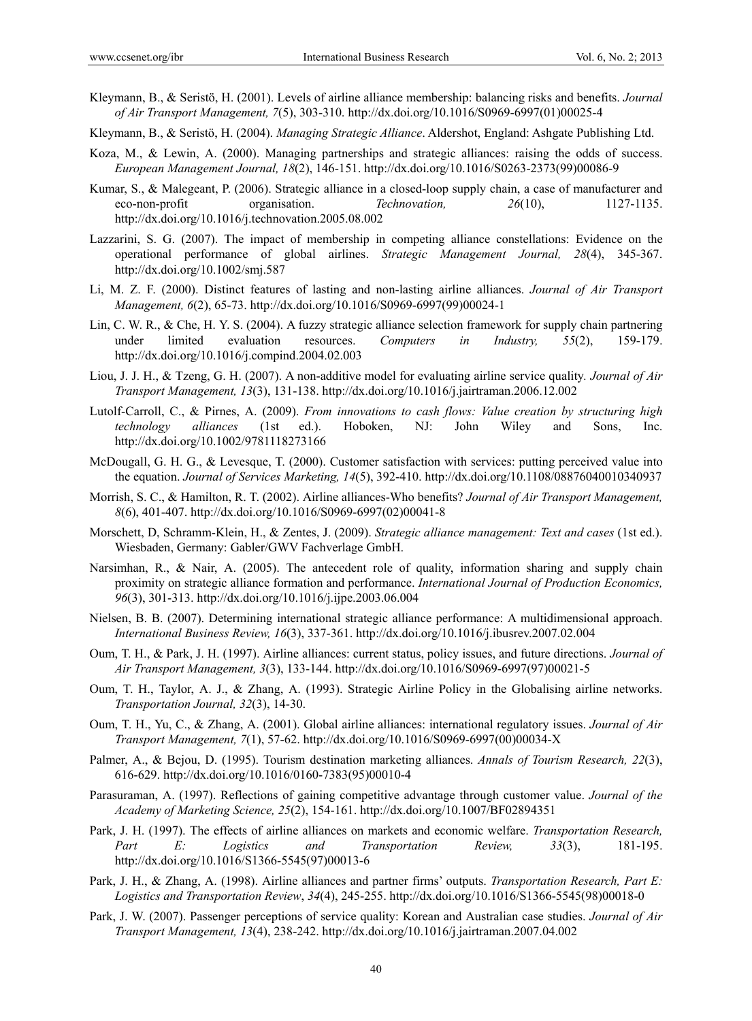- Kleymann, B., & Seristö, H. (2001). Levels of airline alliance membership: balancing risks and benefits. *Journal of Air Transport Management, 7*(5), 303-310. http://dx.doi.org/10.1016/S0969-6997(01)00025-4
- Kleymann, B., & Seristö, H. (2004). *Managing Strategic Alliance*. Aldershot, England: Ashgate Publishing Ltd.
- Koza, M., & Lewin, A. (2000). Managing partnerships and strategic alliances: raising the odds of success. *European Management Journal, 18*(2), 146-151. http://dx.doi.org/10.1016/S0263-2373(99)00086-9
- Kumar, S., & Malegeant, P. (2006). Strategic alliance in a closed-loop supply chain, a case of manufacturer and eco-non-profit organisation. *Technovation, 26*(10), 1127-1135. http://dx.doi.org/10.1016/j.technovation.2005.08.002
- Lazzarini, S. G. (2007). The impact of membership in competing alliance constellations: Evidence on the operational performance of global airlines. *Strategic Management Journal, 28*(4), 345-367. http://dx.doi.org/10.1002/smj.587
- Li, M. Z. F. (2000). Distinct features of lasting and non-lasting airline alliances. *Journal of Air Transport Management, 6*(2), 65-73. http://dx.doi.org/10.1016/S0969-6997(99)00024-1
- Lin, C. W. R., & Che, H. Y. S. (2004). A fuzzy strategic alliance selection framework for supply chain partnering under limited evaluation resources. *Computers in Industry, 55*(2), 159-179. http://dx.doi.org/10.1016/j.compind.2004.02.003
- Liou, J. J. H., & Tzeng, G. H. (2007). A non-additive model for evaluating airline service quality*. Journal of Air Transport Management, 13*(3), 131-138. http://dx.doi.org/10.1016/j.jairtraman.2006.12.002
- Lutolf-Carroll, C., & Pirnes, A. (2009). *From innovations to cash flows: Value creation by structuring high technology alliances* (1st ed.). Hoboken, NJ: John Wiley and Sons, Inc. http://dx.doi.org/10.1002/9781118273166
- McDougall, G. H. G., & Levesque, T. (2000). Customer satisfaction with services: putting perceived value into the equation. *Journal of Services Marketing, 14*(5), 392-410. http://dx.doi.org/10.1108/08876040010340937
- Morrish, S. C., & Hamilton, R. T. (2002). Airline alliances-Who benefits? *Journal of Air Transport Management, 8*(6), 401-407. http://dx.doi.org/10.1016/S0969-6997(02)00041-8
- Morschett, D, Schramm-Klein, H., & Zentes, J. (2009). *Strategic alliance management: Text and cases* (1st ed.). Wiesbaden, Germany: Gabler/GWV Fachverlage GmbH.
- Narsimhan, R., & Nair, A. (2005). The antecedent role of quality, information sharing and supply chain proximity on strategic alliance formation and performance. *International Journal of Production Economics, 96*(3), 301-313. http://dx.doi.org/10.1016/j.ijpe.2003.06.004
- Nielsen, B. B. (2007). Determining international strategic alliance performance: A multidimensional approach. *International Business Review, 16*(3), 337-361. http://dx.doi.org/10.1016/j.ibusrev.2007.02.004
- Oum, T. H., & Park, J. H. (1997). Airline alliances: current status, policy issues, and future directions. *Journal of Air Transport Management, 3*(3), 133-144. http://dx.doi.org/10.1016/S0969-6997(97)00021-5
- Oum, T. H., Taylor, A. J., & Zhang, A. (1993). Strategic Airline Policy in the Globalising airline networks. *Transportation Journal, 32*(3), 14-30.
- Oum, T. H., Yu, C., & Zhang, A. (2001). Global airline alliances: international regulatory issues. *Journal of Air Transport Management, 7*(1), 57-62. http://dx.doi.org/10.1016/S0969-6997(00)00034-X
- Palmer, A., & Bejou, D. (1995). Tourism destination marketing alliances. *Annals of Tourism Research, 22*(3), 616-629. http://dx.doi.org/10.1016/0160-7383(95)00010-4
- Parasuraman, A. (1997). Reflections of gaining competitive advantage through customer value. *Journal of the Academy of Marketing Science, 25*(2), 154-161. http://dx.doi.org/10.1007/BF02894351
- Park, J. H. (1997). The effects of airline alliances on markets and economic welfare. *Transportation Research, Part E: Logistics and Transportation Review, 33*(3), 181-195. http://dx.doi.org/10.1016/S1366-5545(97)00013-6
- Park, J. H., & Zhang, A. (1998). Airline alliances and partner firms' outputs. *Transportation Research, Part E: Logistics and Transportation Review*, *34*(4), 245-255. http://dx.doi.org/10.1016/S1366-5545(98)00018-0
- Park, J. W. (2007). Passenger perceptions of service quality: Korean and Australian case studies. *Journal of Air Transport Management, 13*(4), 238-242. http://dx.doi.org/10.1016/j.jairtraman.2007.04.002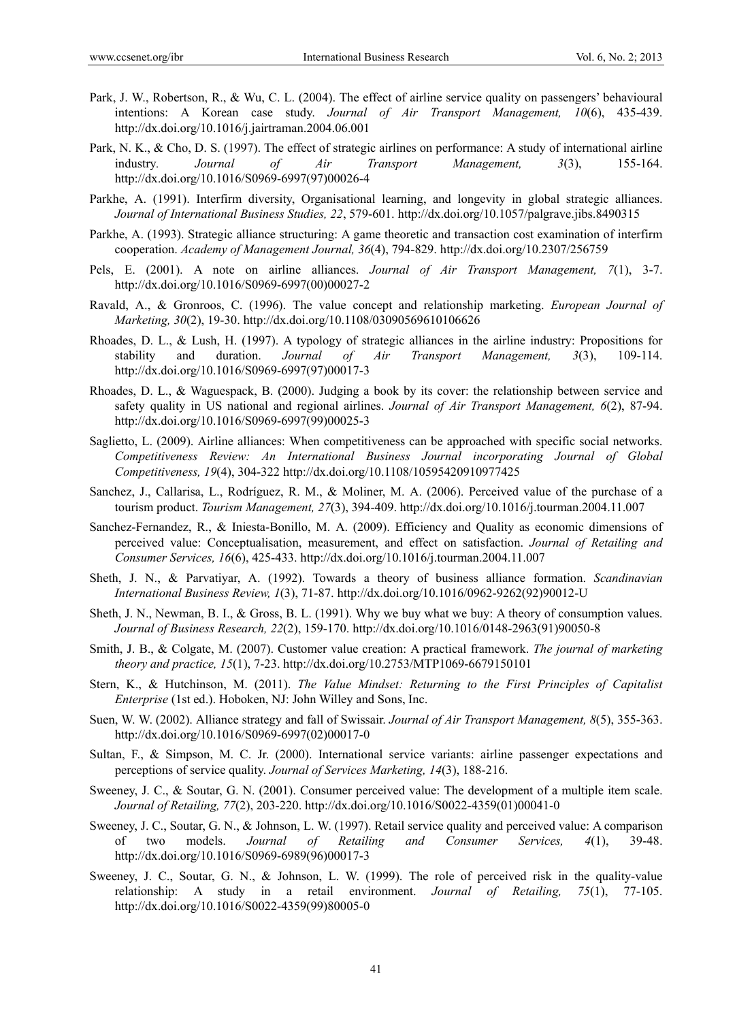- Park, J. W., Robertson, R., & Wu, C. L. (2004). The effect of airline service quality on passengers' behavioural intentions: A Korean case study. *Journal of Air Transport Management, 10*(6), 435-439. http://dx.doi.org/10.1016/j.jairtraman.2004.06.001
- Park, N. K., & Cho, D. S. (1997). The effect of strategic airlines on performance: A study of international airline industry*. Journal of Air Transport Management, 3*(3), 155-164. http://dx.doi.org/10.1016/S0969-6997(97)00026-4
- Parkhe, A. (1991). Interfirm diversity, Organisational learning, and longevity in global strategic alliances. *Journal of International Business Studies, 22*, 579-601. http://dx.doi.org/10.1057/palgrave.jibs.8490315
- Parkhe, A. (1993). Strategic alliance structuring: A game theoretic and transaction cost examination of interfirm cooperation. *Academy of Management Journal, 36*(4), 794-829. http://dx.doi.org/10.2307/256759
- Pels, E. (2001). A note on airline alliances. *Journal of Air Transport Management, 7*(1), 3-7. http://dx.doi.org/10.1016/S0969-6997(00)00027-2
- Ravald, A., & Gronroos, C. (1996). The value concept and relationship marketing. *European Journal of Marketing, 30*(2), 19-30. http://dx.doi.org/10.1108/03090569610106626
- Rhoades, D. L., & Lush, H. (1997). A typology of strategic alliances in the airline industry: Propositions for stability and duration. *Journal of Air Transport Management, 3*(3), 109-114. http://dx.doi.org/10.1016/S0969-6997(97)00017-3
- Rhoades, D. L., & Waguespack, B. (2000). Judging a book by its cover: the relationship between service and safety quality in US national and regional airlines. *Journal of Air Transport Management, 6*(2), 87-94. http://dx.doi.org/10.1016/S0969-6997(99)00025-3
- Saglietto, L. (2009). Airline alliances: When competitiveness can be approached with specific social networks. *Competitiveness Review: An International Business Journal incorporating Journal of Global Competitiveness, 19*(4), 304-322 http://dx.doi.org/10.1108/10595420910977425
- Sanchez, J., Callarisa, L., Rodríguez, R. M., & Moliner, M. A. (2006). Perceived value of the purchase of a tourism product. *Tourism Management, 27*(3), 394-409. http://dx.doi.org/10.1016/j.tourman.2004.11.007
- Sanchez-Fernandez, R., & Iniesta-Bonillo, M. A. (2009). Efficiency and Quality as economic dimensions of perceived value: Conceptualisation, measurement, and effect on satisfaction. *Journal of Retailing and Consumer Services, 16*(6), 425-433. http://dx.doi.org/10.1016/j.tourman.2004.11.007
- Sheth, J. N., & Parvatiyar, A. (1992). Towards a theory of business alliance formation. *Scandinavian International Business Review, 1*(3), 71-87. http://dx.doi.org/10.1016/0962-9262(92)90012-U
- Sheth, J. N., Newman, B. I., & Gross, B. L. (1991). Why we buy what we buy: A theory of consumption values. *Journal of Business Research, 22*(2), 159-170. http://dx.doi.org/10.1016/0148-2963(91)90050-8
- Smith, J. B., & Colgate, M. (2007). Customer value creation: A practical framework. *The journal of marketing theory and practice, 15*(1), 7-23. http://dx.doi.org/10.2753/MTP1069-6679150101
- Stern, K., & Hutchinson, M. (2011). *The Value Mindset: Returning to the First Principles of Capitalist Enterprise* (1st ed.). Hoboken, NJ: John Willey and Sons, Inc.
- Suen, W. W. (2002). Alliance strategy and fall of Swissair. *Journal of Air Transport Management, 8*(5), 355-363. http://dx.doi.org/10.1016/S0969-6997(02)00017-0
- Sultan, F., & Simpson, M. C. Jr. (2000). International service variants: airline passenger expectations and perceptions of service quality. *Journal of Services Marketing, 14*(3), 188-216.
- Sweeney, J. C., & Soutar, G. N. (2001). Consumer perceived value: The development of a multiple item scale. *Journal of Retailing, 77*(2), 203-220. http://dx.doi.org/10.1016/S0022-4359(01)00041-0
- Sweeney, J. C., Soutar, G. N., & Johnson, L. W. (1997). Retail service quality and perceived value: A comparison of two models. *Journal of Retailing and Consumer Services, 4*(1), 39-48. http://dx.doi.org/10.1016/S0969-6989(96)00017-3
- Sweeney, J. C., Soutar, G. N., & Johnson, L. W. (1999). The role of perceived risk in the quality-value relationship: A study in a retail environment. *Journal of Retailing, 75*(1), 77-105. http://dx.doi.org/10.1016/S0022-4359(99)80005-0